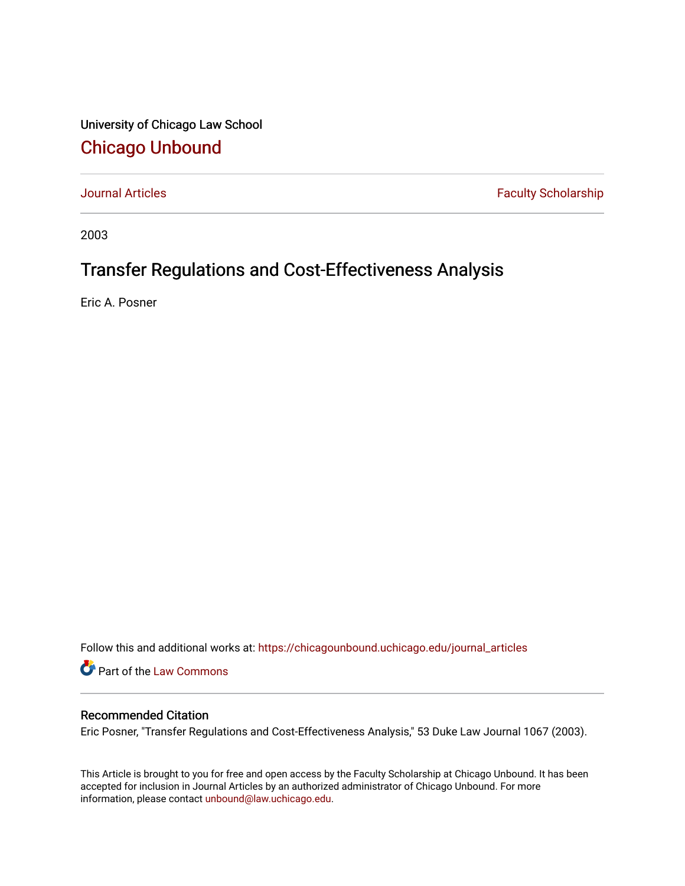University of Chicago Law School [Chicago Unbound](https://chicagounbound.uchicago.edu/)

[Journal Articles](https://chicagounbound.uchicago.edu/journal_articles) **Faculty Scholarship Faculty Scholarship** 

2003

# Transfer Regulations and Cost-Effectiveness Analysis

Eric A. Posner

Follow this and additional works at: [https://chicagounbound.uchicago.edu/journal\\_articles](https://chicagounbound.uchicago.edu/journal_articles?utm_source=chicagounbound.uchicago.edu%2Fjournal_articles%2F1727&utm_medium=PDF&utm_campaign=PDFCoverPages) 

Part of the [Law Commons](http://network.bepress.com/hgg/discipline/578?utm_source=chicagounbound.uchicago.edu%2Fjournal_articles%2F1727&utm_medium=PDF&utm_campaign=PDFCoverPages)

## Recommended Citation

Eric Posner, "Transfer Regulations and Cost-Effectiveness Analysis," 53 Duke Law Journal 1067 (2003).

This Article is brought to you for free and open access by the Faculty Scholarship at Chicago Unbound. It has been accepted for inclusion in Journal Articles by an authorized administrator of Chicago Unbound. For more information, please contact [unbound@law.uchicago.edu](mailto:unbound@law.uchicago.edu).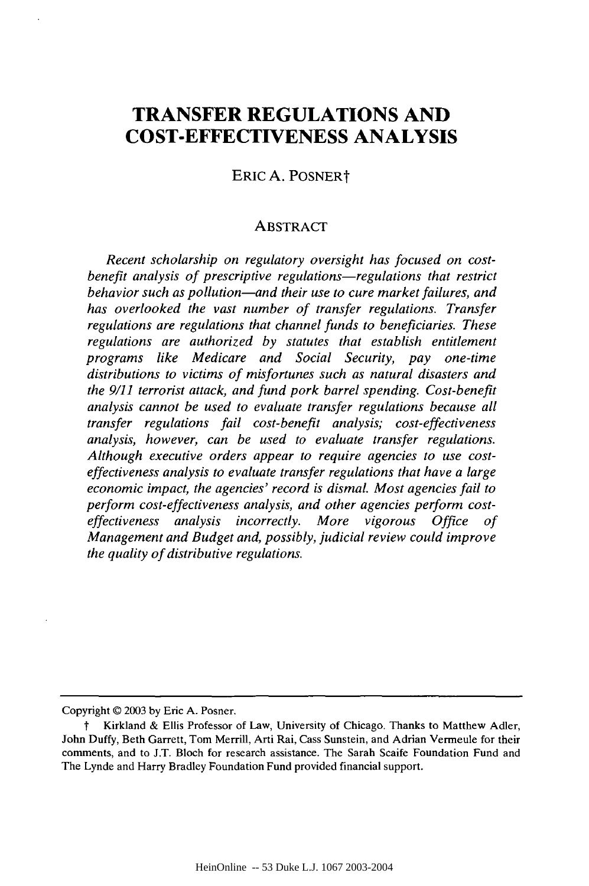## **TRANSFER REGULATIONS AND COST-EFFECTIVENESS ANALYSIS**

ERIC A. POSNERt

#### ABSTRACT

*Recent scholarship on regulatory oversight has focused on costbenefit analysis of prescriptive regulations-regulations that restrict behavior such as pollution-and their use to cure market failures, and has overlooked the vast number of transfer regulations. Transfer regulations are regulations that channel funds to beneficiaries. These regulations are authorized by statutes that establish entitlement programs like Medicare and Social Security, pay one-time distributions to victims of misfortunes such as natural disasters and the 9/11 terrorist attack, and fund pork barrel spending. Cost-benefit analysis cannot be used to evaluate transfer regulations because all transfer regulations fail cost-benefit analysis; cost-effectiveness analysis, however, can be used to evaluate transfer regulations. Although executive orders appear to require agencies to use costeffectiveness analysis to evaluate transfer regulations that have a large economic impact, the agencies' record is dismal. Most agencies fail to perform cost-effectiveness analysis, and other agencies perform costeffectiveness analysis incorrectly. More vigorous Office of Management and Budget and, possibly, judicial review could improve the quality of distributive regulations.*

Copyright **@** 2003 by Eric A. Posner.

t Kirkland & Ellis Professor of Law, University of Chicago. Thanks to Matthew Adler, John Duffy, Beth Garrett, Tom Merrill, Arti Rai, Cass Sunstein, and Adrian Vermeule for their comments, and to J.T. Bloch for research assistance. The Sarah Scaife Foundation Fund and The Lynde and Harry Bradley Foundation Fund provided financial support.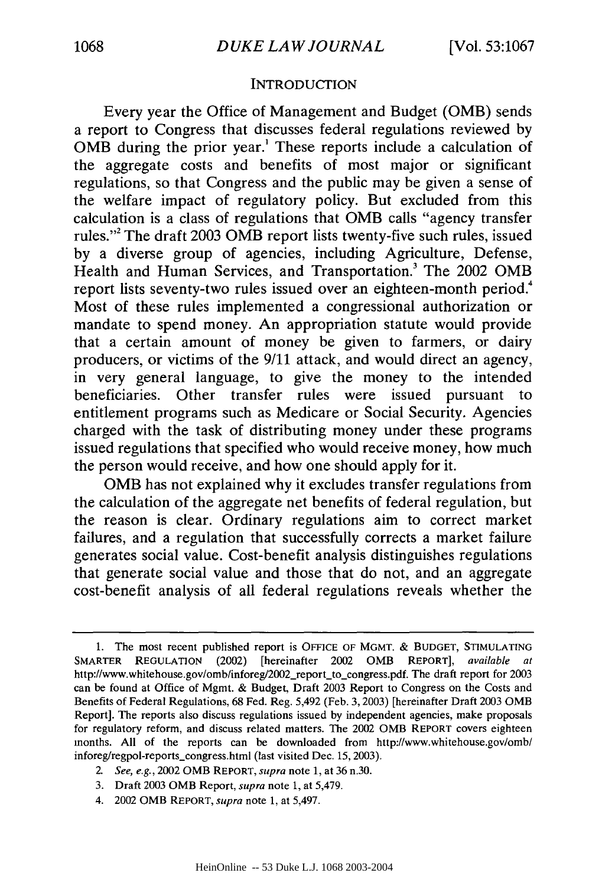#### **INTRODUCTION**

Every year the Office of Management and Budget (OMB) sends a report to Congress that discusses federal regulations reviewed by OMB during the prior year.' These reports include a calculation of the aggregate costs and benefits of most major or significant regulations, so that Congress and the public may be given a sense of the welfare impact of regulatory policy. But excluded from this calculation is a class of regulations that OMB calls "agency transfer rules."2 The draft 2003 OMB report lists twenty-five such rules, issued by a diverse group of agencies, including Agriculture, Defense, Health and Human Services, and Transportation.<sup>3</sup> The 2002 OMB report lists seventy-two rules issued over an eighteen-month period.<sup>4</sup> Most of these rules implemented a congressional authorization or mandate to spend money. An appropriation statute would provide that a certain amount of money be given to farmers, or dairy producers, or victims of the 9/11 attack, and would direct an agency, in very general language, to give the money to the intended beneficiaries. Other transfer rules were issued pursuant to entitlement programs such as Medicare or Social Security. Agencies charged with the task of distributing money under these programs issued regulations that specified who would receive money, how much the person would receive, and how one should apply for it.

OMB has not explained why it excludes transfer regulations from the calculation of the aggregate net benefits of federal regulation, but the reason is clear. Ordinary regulations aim to correct market failures, and a regulation that successfully corrects a market failure generates social value. Cost-benefit analysis distinguishes regulations that generate social value and those that do not, and an aggregate cost-benefit analysis of all federal regulations reveals whether the

<sup>1.</sup> The most recent published report is OFFICE OF MGMT. & BUDGET, STIMULATING SMARTER REGULATION (2002) [hereinafter 2002 OMB REPORT], *available at* http://www.whitehouse.gov/omb/inforeg/2002\_report-to-congress.pdf. The draft report for 2003 can be found at Office of Mgmt. & Budget, Draft 2003 Report to Congress on the Costs and Benefits of Federal Regulations, 68 Fed. Reg. 5,492 (Feb. 3, 2003) [hereinafter Draft 2003 OMB Report]. The reports also discuss regulations issued by independent agencies, make proposals for regulatory reform, and discuss related matters. The 2002 OMB REPORT covers eighteen months. All of the reports can be downloaded from http://www.whitehouse.gov/omb/ inforeg/regpol-reports\_congress.html (last visited Dec. 15, 2003).

*<sup>2.</sup> See, e.g.,* 2002 OMB REPORT, *supra* note 1, at 36 n.30.

<sup>3.</sup> Draft 2003 OMB Report, *supra* note 1, at 5,479.

<sup>4. 2002</sup> OMB REPORT, *supra* note 1, at 5,497.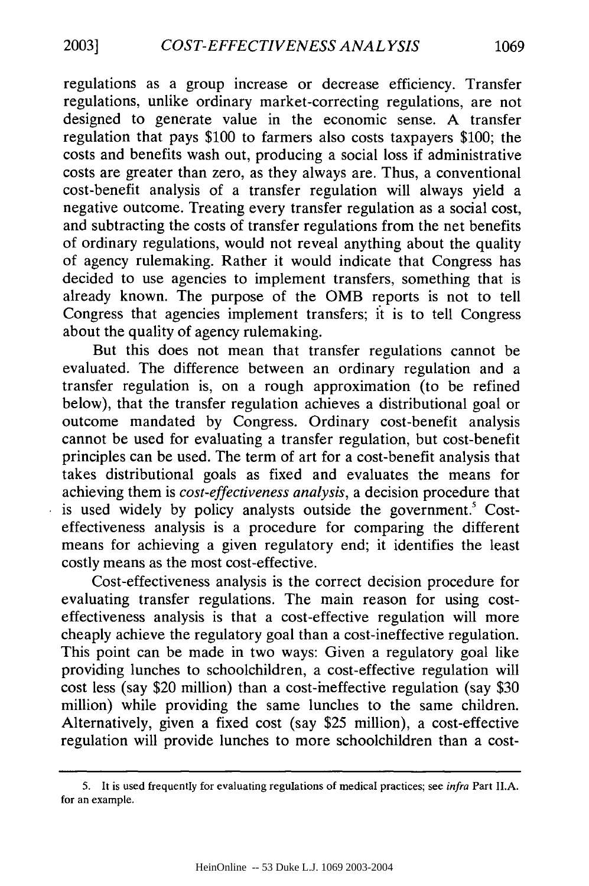regulations as a group increase or decrease efficiency. Transfer regulations, unlike ordinary market-correcting regulations, are not designed to generate value in the economic sense. A transfer regulation that pays \$100 to farmers also costs taxpayers \$100; the costs and benefits wash out, producing a social loss if administrative costs are greater than zero, as they always are. Thus, a conventional cost-benefit analysis of a transfer regulation will always yield a negative outcome. Treating every transfer regulation as a social cost, and subtracting the costs of transfer regulations from the net benefits of ordinary regulations, would not reveal anything about the quality of agency rulemaking. Rather it would indicate that Congress has decided to use agencies to implement transfers, something that is already known. The purpose of the OMB reports is not to tell Congress that agencies implement transfers; it is to tell Congress about the quality of agency rulemaking.

But this does not mean that transfer regulations cannot be evaluated. The difference between an ordinary regulation and a transfer regulation is, on a rough approximation (to be refined below), that the transfer regulation achieves a distributional goal or outcome mandated by Congress. Ordinary cost-benefit analysis cannot be used for evaluating a transfer regulation, but cost-benefit principles can be used. The term of art for a cost-benefit analysis that takes distributional goals as fixed and evaluates the means for achieving them is *cost-effectiveness analysis,* a decision procedure that is used widely by policy analysts outside the government.<sup>5</sup> Costeffectiveness analysis is a procedure for comparing the different means for achieving a given regulatory end; it identifies the least costly means as the most cost-effective.

Cost-effectiveness analysis is the correct decision procedure for evaluating transfer regulations. The main reason for using costeffectiveness analysis is that a cost-effective regulation will more cheaply achieve the regulatory goal than a cost-ineffective regulation. This point can be made in two ways: Given a regulatory goal like providing lunches to schoolchildren, a cost-effective regulation will cost less (say \$20 million) than a cost-ineffective regulation (say \$30 million) while providing the same lunches to the same children. Alternatively, given a fixed cost (say \$25 million), a cost-effective regulation will provide lunches to more schoolchildren than a cost-

**<sup>5.</sup>** It is used frequently for evaluating regulations of medical practices; see *infra* Part II.A. for an example.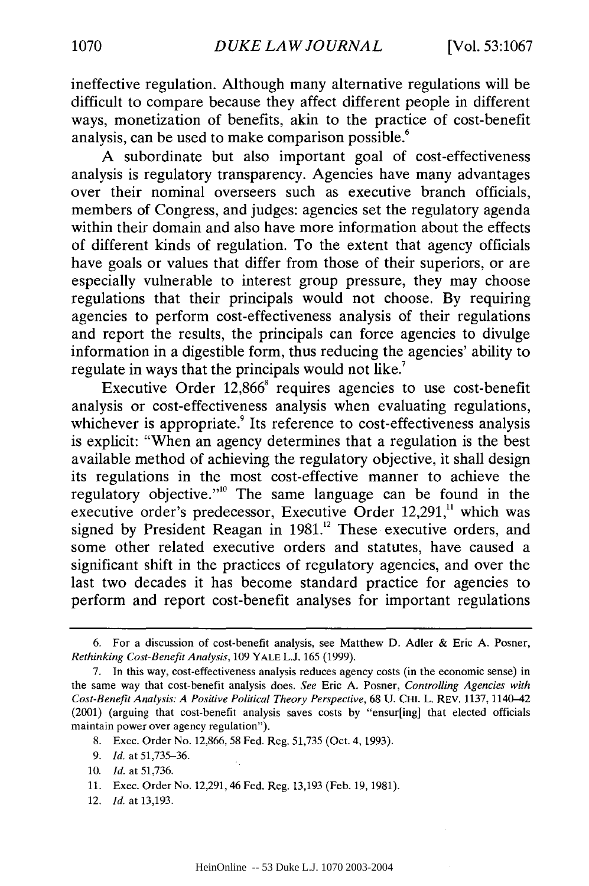ineffective regulation. Although many alternative regulations will be difficult to compare because they affect different people in different ways, monetization of benefits, akin to the practice of cost-benefit analysis, can be used to make comparison possible.<sup>6</sup>

A subordinate but also important goal of cost-effectiveness analysis is regulatory transparency. Agencies have many advantages over their nominal overseers such as executive branch officials, members of Congress, and judges: agencies set the regulatory agenda within their domain and also have more information about the effects of different kinds of regulation. To the extent that agency officials have goals or values that differ from those of their superiors, or are especially vulnerable to interest group pressure, they may choose regulations that their principals would not choose. By requiring agencies to perform cost-effectiveness analysis of their regulations and report the results, the principals can force agencies to divulge information in a digestible form, thus reducing the agencies' ability to regulate in ways that the principals would not like.<sup>7</sup>

Executive Order 12,866<sup>8</sup> requires agencies to use cost-benefit analysis or cost-effectiveness analysis when evaluating regulations, whichever is appropriate.<sup>9</sup> Its reference to cost-effectiveness analysis is explicit: "When an agency determines that a regulation is the best available method of achieving the regulatory objective, it shall design its regulations in the most cost-effective manner to achieve the regulatory objective."<sup>10</sup> The same language can be found in the executive order's predecessor, Executive Order 12,291,<sup>11</sup> which was signed by President Reagan in 1981.<sup>12</sup> These executive orders, and some other related executive orders and statutes, have caused a significant shift in the practices of regulatory agencies, and over the last two decades it has become standard practice for agencies to perform and report cost-benefit analyses for important regulations

- **9.** *Id.* at 51,735-36.
- 10. *Id.* at 51,736.
- 11. Exec. Order No. 12,291, 46 Fed. Reg. 13,193 (Feb. 19, 1981).
- 12. *Id.* at 13,193.

<sup>6.</sup> For a discussion of cost-benefit analysis, see Matthew D. Adler **&** Eric **A.** Posner, *Rethinking Cost-Benefit Analysis,* 109 YALE L.J. 165 **(1999).**

<sup>7.</sup> In this way, cost-effectiveness analysis reduces agency costs (in the economic sense) in the same way that cost-benefit analysis does. *See* Eric **A.** Posner, *Controlling Agencies with Cost-Benefit Analysis: A Positive Political Theory Perspective,* 68 U. CHI. L. REV. 1137, 1140-42 (2001) (arguing that cost-benefit analysis saves costs **by** "ensur[ing] that elected officials maintain power over agency regulation").

<sup>8.</sup> Exec. Order No. 12,866, 58 Fed. Reg. 51,735 (Oct. 4, 1993).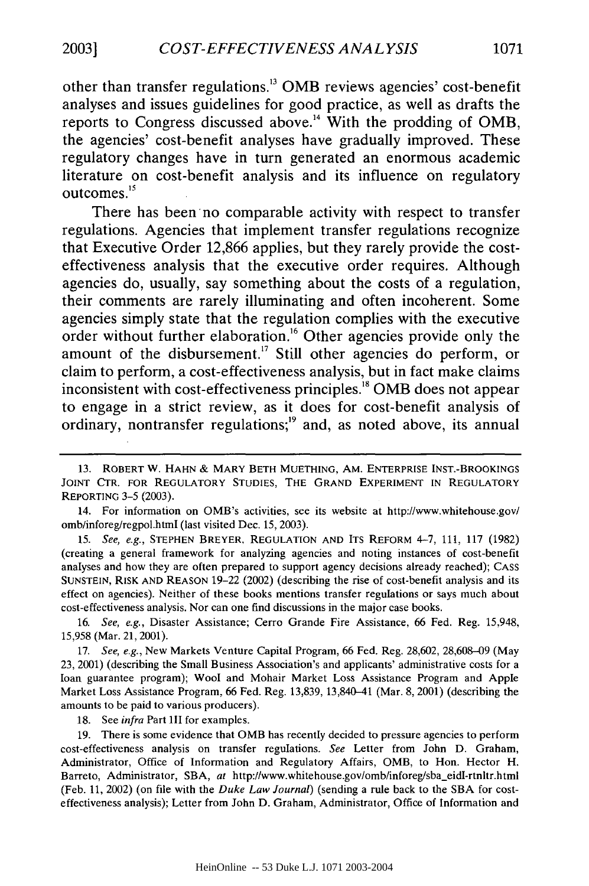other than transfer regulations. <sup>3</sup>**0MB** reviews agencies' cost-benefit analyses and issues guidelines for good practice, as well as drafts the reports to Congress discussed above.<sup>14</sup> With the prodding of OMB, the agencies' cost-benefit analyses have gradually improved. These regulatory changes have in turn generated an enormous academic literature on cost-benefit analysis and its influence on regulatory outcomes.<sup>15</sup>

There has been no comparable activity with respect to transfer regulations. Agencies that implement transfer regulations recognize that Executive Order **12,866** applies, but they rarely provide the costeffectiveness analysis that the executive order requires. Although agencies do, usually, say something about the costs of a regulation, their comments are rarely illuminating and often incoherent. Some agencies simply state that the regulation complies with the executive order without further elaboration.<sup>16</sup> Other agencies provide only the amount of the disbursement.<sup>17</sup> Still other agencies do perform, or claim to perform, a cost-effectiveness analysis, but in fact make claims inconsistent with cost-effectiveness principles.<sup>18</sup> OMB does not appear to engage in a strict review, as it does for cost-benefit analysis of ordinary, nontransfer regulations;<sup>19</sup> and, as noted above, its annual

**<sup>13.</sup>** ROBERT **W. HAHN &** MARY BETH MUETHING, AM. ENTERPRISE INST.-BROOKINGS JOINT CTR. FOR REGULATORY **STUDIES,** THE **GRAND** EXPERIMENT **IN** REGULATORY REPORTING 3-5 (2003).

<sup>14.</sup> For information on OMB's activities, see its website at http://www.whitehouse.gov/ omb/inforeg/regpol.html (last visited Dec. 15, 2003).

**<sup>15.</sup>** *See, e.g.,* STEPHEN BREYER, REGULATION AND ITS REFORM 4-7, 111, 117 (1982) (creating a general framework for analyzing agencies and noting instances of cost-benefit analyses and how they are often prepared to support agency decisions already reached); CASS SUNSTEIN, RISK AND REASON 19-22 (2002) (describing the rise of cost-benefit analysis and its effect on agencies). Neither of these books mentions transfer regulations or says much about cost-effectiveness analysis. Nor can one find discussions in the major case books.

<sup>16.</sup> *See, e.g.,* Disaster Assistance; Cerro Grande Fire Assistance, 66 Fed. Reg. 15,948, 15,958 (Mar. 21, 2001).

<sup>17.</sup> *See, e.g.,* New Markets Venture Capital Program, 66 Fed. Reg. 28,602, 28,608-09 (May 23, 2001) (describing the Small Business Association's and applicants' administrative costs for a loan guarantee program); Wool and Mohair Market Loss Assistance Program and Apple Market Loss Assistance Program, 66 Fed. Reg. 13,839, 13,840-41 (Mar. 8, 2001) (describing the amounts to be paid to various producers).

<sup>18.</sup> See *infra* Part III for examples.

<sup>19.</sup> There is some evidence that OMB has recently decided to pressure agencies to perform cost-effectiveness analysis on transfer regulations. *See* Letter from John D. Graham, Administrator, Office of Information and Regulatory Affairs, OMB, to Hon. Hector H. Barreto, Administrator, SBA, *at* http://www.whitehouse.gov/omb/inforeg/sba\_eidI-rtnltr.html (Feb. 11, 2002) (on file with the *Duke Law Journal)* (sending a rule back to the SBA for costeffectiveness analysis); Letter from John D. Graham, Administrator, Office of Information and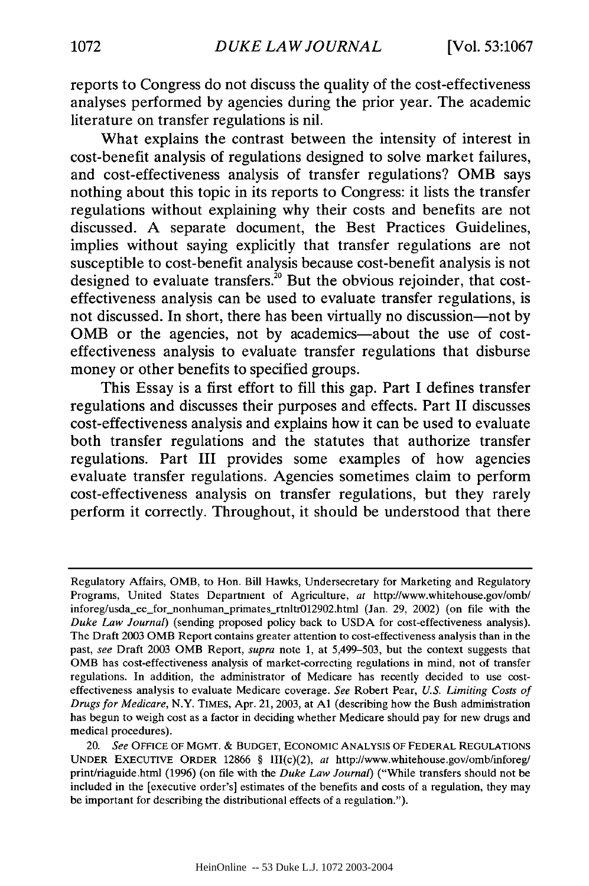reports to Congress do not discuss the quality of the cost-effectiveness analyses performed **by** agencies during the prior year. The academic literature on transfer regulations is nil.

What explains the contrast between the intensity of interest in cost-benefit analysis of regulations designed to solve market failures, and cost-effectiveness analysis of transfer regulations? **OMB** says nothing about this topic in its reports to Congress: it lists the transfer regulations without explaining why their costs and benefits are not discussed. **A** separate document, the Best Practices Guidelines, implies without saying explicitly that transfer regulations are not susceptible to cost-benefit analysis because cost-benefit analysis is not designed to evaluate transfers.<sup>20</sup> But the obvious rejoinder, that costeffectiveness analysis can be used to evaluate transfer regulations, is not discussed. In short, there has been virtually no discussion-not **by OMB** or the agencies, not **by** academics-about the use of costeffectiveness analysis to evaluate transfer regulations that disburse money or other benefits to specified groups.

This Essay is a first effort to **fill** this gap. Part **I** defines transfer regulations and discusses their purposes and effects. Part **II** discusses cost-effectiveness analysis and explains how it can be used to evaluate both transfer regulations and the statutes that authorize transfer regulations. Part **III** provides some examples of how agencies evaluate transfer regulations. Agencies sometimes claim to perform cost-effectiveness analysis on transfer regulations, but they rarely perform it correctly. Throughout, it should be understood that there

Regulatory Affairs, OMB, to Hon. Bill Hawks, Undersecretary for Marketing and Regulatory Programs, United States Department of Agriculture, at http://www.whitehouse.gov/omb/ inforeg/usda\_ee\_for\_nonhuman\_primates\_rtnltr012902.html (Jan. 29, 2002) (on file with the *Duke Law Journal)* (sending proposed policy back to **USDA** for cost-effectiveness analysis). The Draft 2003 OMB Report contains greater attention to cost-effectiveness analysis than in the past, *see* Draft 2003 OMB Report, *supra* note **1,** at **5,499-503,** but the context suggests that **OMB** has cost-effectiveness analysis of market-correcting regulations in mind, not of transfer regulations. In addition, the administrator of Medicare has recently decided to use costeffectiveness analysis to evaluate Medicare coverage. *See* Robert Pear, *U.S. Limiting Costs of Drugs for Medicare,* N.Y. TIMES, Apr. 21, 2003, at **Al** (describing how the Bush administration has begun to weigh cost as a factor in deciding whether Medicare should pay for new drugs and medical procedures).

<sup>20.</sup> *See* OFFICE OF MGMT. & **BUDGET,** ECONOMIC **ANALYSIS** OF FEDERAL **REGULATIONS** UNDER EXECUTIVE ORDER 12866 § III(c)(2), *at* http://www.whitehouse.gov/omb/inforeg/ print/riaguide.html **(1996)** (on file with the *Duke Law Journal)* ("While transfers should not be included in the [executive order's] estimates of the benefits and costs of a regulation, they may be important for describing the distributional effects of a regulation.").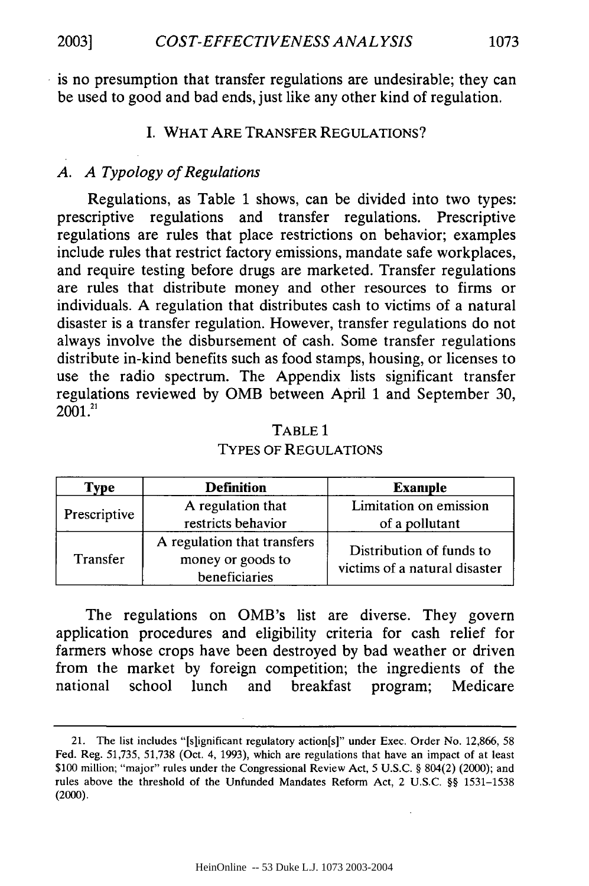is no presumption that transfer regulations are undesirable; they can be used to good and bad ends, just like any other kind of regulation.

## I. WHAT ARE TRANSFER REGULATIONS?

## *A. A Typology of Regulations*

Regulations, as Table 1 shows, can be divided into two types: prescriptive regulations and transfer regulations. Prescriptive regulations are rules that place restrictions on behavior; examples include rules that restrict factory emissions, mandate safe workplaces, and require testing before drugs are marketed. Transfer regulations are rules that distribute money and other resources to firms or individuals. A regulation that distributes cash to victims of a natural disaster is a transfer regulation. However, transfer regulations do not always involve the disbursement of cash. Some transfer regulations distribute in-kind benefits such as food stamps, housing, or licenses to use the radio spectrum. The Appendix lists significant transfer regulations reviewed by OMB between April 1 and September 30,  $2001.<sup>21</sup>$ 

| <b>Type</b>     | <b>Definition</b>                                                 | <b>Example</b>                                            |  |
|-----------------|-------------------------------------------------------------------|-----------------------------------------------------------|--|
| Prescriptive    | A regulation that                                                 | Limitation on emission                                    |  |
|                 | restricts behavior                                                | of a pollutant                                            |  |
| <b>Transfer</b> | A regulation that transfers<br>money or goods to<br>beneficiaries | Distribution of funds to<br>victims of a natural disaster |  |

TABLE **1** TYPES OF REGULATIONS

The regulations on OMB's list are diverse. They govern application procedures and eligibility criteria for cash relief for farmers whose crops have been destroyed by bad weather or driven from the market by foreign competition; the ingredients of the national school lunch and breakfast program; Medicare

<sup>21.</sup> The list includes "[s]ignificant regulatory action[s]" under Exec. Order No. 12,866, 58 Fed. Reg. 51,735, 51,738 (Oct. 4, 1993), which are regulations that have an impact of at least \$100 million; "major" rules under the Congressional Review Act, 5 U.S.C. § 804(2) (2000); and rules above the threshold of the Unfunded Mandates Reform Act, 2 U.S.C. §§ 1531-1538 (2000).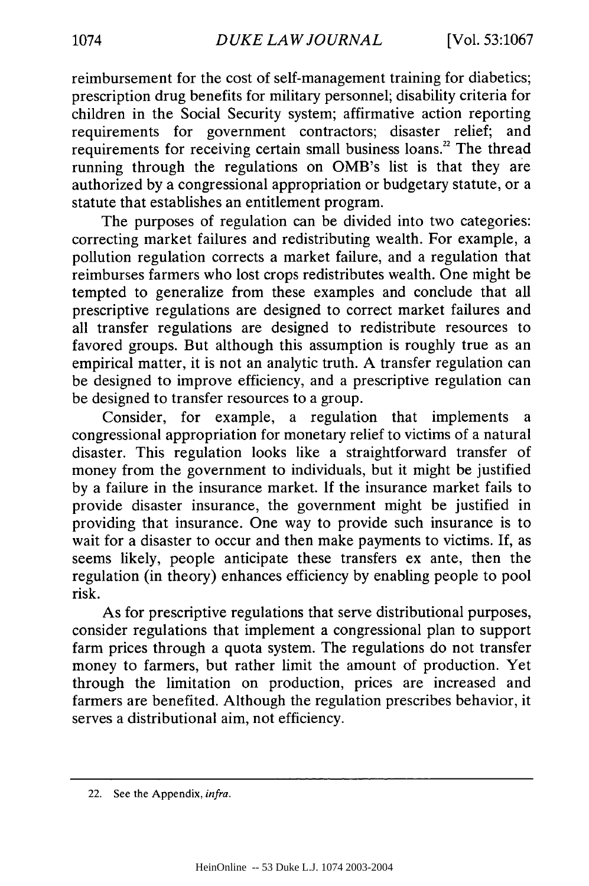reimbursement for the cost of self-management training for diabetics; prescription drug benefits for military personnel; disability criteria for children in the Social Security system; affirmative action reporting requirements for government contractors; disaster relief; and requirements for receiving certain small business loans.<sup>22</sup> The thread running through the regulations on OMB's list is that they are authorized by a congressional appropriation or budgetary statute, or a statute that establishes an entitlement program.

The purposes of regulation can be divided into two categories: correcting market failures and redistributing wealth. For example, a pollution regulation corrects a market failure, and a regulation that reimburses farmers who lost crops redistributes wealth. One might be tempted to generalize from these examples and conclude that all prescriptive regulations are designed to correct market failures and all transfer regulations are designed to redistribute resources to favored groups. But although this assumption is roughly true as an empirical matter, it is not an analytic truth. A transfer regulation can be designed to improve efficiency, and a prescriptive regulation can be designed to transfer resources to a group.

Consider, for example, a regulation that implements a congressional appropriation for monetary relief to victims of a natural disaster. This regulation looks like a straightforward transfer of money from the government to individuals, but it might be justified by a failure in the insurance market. If the insurance market fails to provide disaster insurance, the government might be justified in providing that insurance. One way to provide such insurance is to wait for a disaster to occur and then make payments to victims. If, as seems likely, people anticipate these transfers ex ante, then the regulation (in theory) enhances efficiency by enabling people to pool risk.

As for prescriptive regulations that serve distributional purposes, consider regulations that implement a congressional plan to support farm prices through a quota system. The regulations do not transfer money to farmers, but rather limit the amount of production. Yet through the limitation on production, prices are increased and farmers are benefited. Although the regulation prescribes behavior, it serves a distributional aim, not efficiency.

<sup>22.</sup> See the Appendix, *infra.*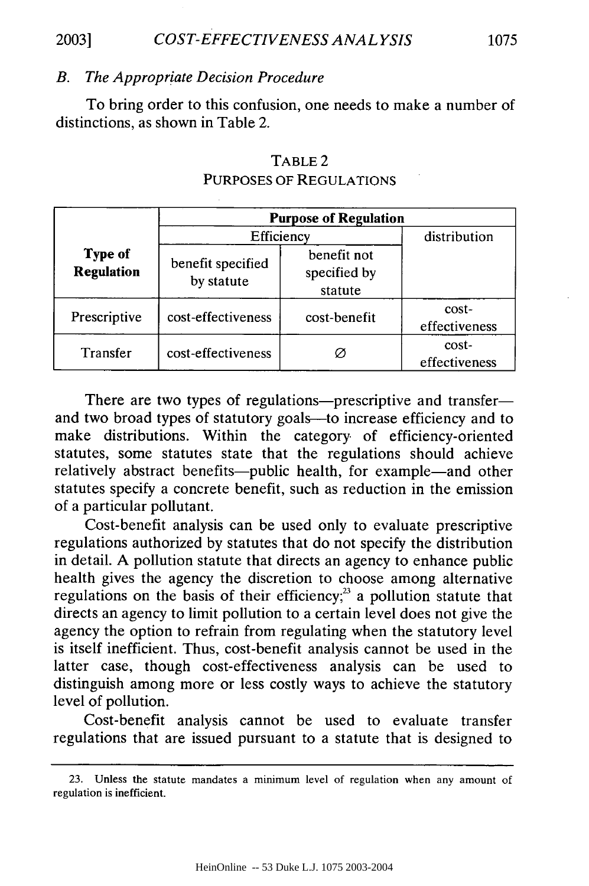## *COST-EFFECTIVENESS ANAL YSIS* **2003] 1075**

#### *B. The Appropriate Decision Procedure*

To bring order to this confusion, one needs to make a number of distinctions, as shown in Table 2.

|                                     | <b>Purpose of Regulation</b>    |                                        |                        |  |
|-------------------------------------|---------------------------------|----------------------------------------|------------------------|--|
|                                     | Efficiency                      |                                        | distribution           |  |
| <b>Type of</b><br><b>Regulation</b> | benefit specified<br>by statute | benefit not<br>specified by<br>statute |                        |  |
| Prescriptive                        | cost-effectiveness              | cost-benefit                           | cost-<br>effectiveness |  |
| Transfer                            | cost-effectiveness              | Ø                                      | cost-<br>effectiveness |  |

## TABLE 2 PURPOSES OF REGULATIONS

There are two types of regulations-prescriptive and transferand two broad types of statutory goals-to increase efficiency and to make distributions. Within the category of efficiency-oriented statutes, some statutes state that the regulations should achieve relatively abstract benefits-public health, for example-and other statutes specify a concrete benefit, such as reduction in the emission of a particular pollutant.

Cost-benefit analysis can be used only to evaluate prescriptive regulations authorized by statutes that do not specify the distribution in detail. A pollution statute that directs an agency to enhance public health gives the agency the discretion to choose among alternative regulations on the basis of their efficiency; $3$  a pollution statute that directs an agency to limit pollution to a certain level does not give the agency the option to refrain from regulating when the statutory level is itself inefficient. Thus, cost-benefit analysis cannot be used in the latter case, though cost-effectiveness analysis can be used to distinguish among more or less costly ways to achieve the statutory level of pollution.

Cost-benefit analysis cannot be used to evaluate transfer regulations that are issued pursuant to a statute that is designed to

<sup>23.</sup> Unless the statute mandates a minimum level of regulation when any amount of regulation is inefficient.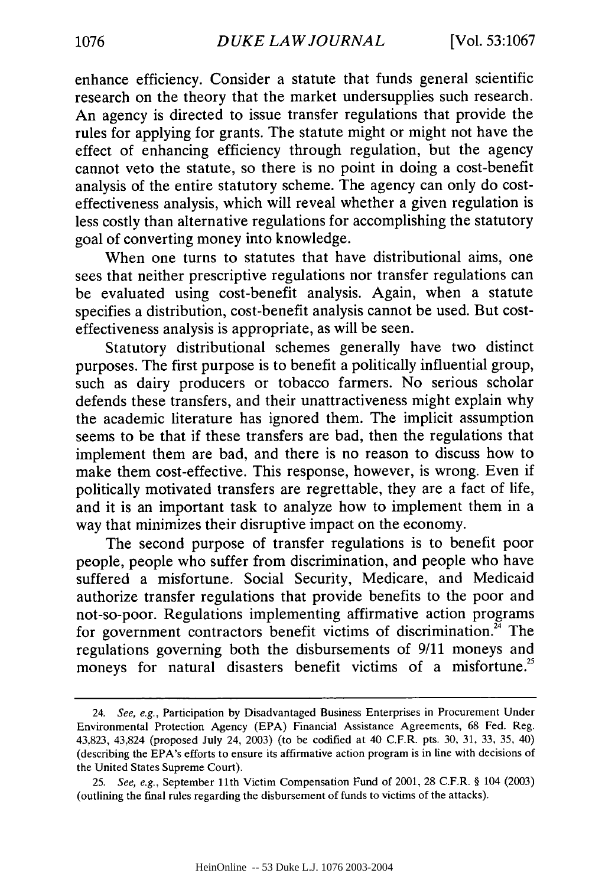enhance efficiency. Consider a statute that funds general scientific research on the theory that the market undersupplies such research. An agency is directed to issue transfer regulations that provide the rules for applying for grants. The statute might or might not have the effect of enhancing efficiency through regulation, but the agency cannot veto the statute, so there is no point in doing a cost-benefit analysis of the entire statutory scheme. The agency can only do costeffectiveness analysis, which will reveal whether a given regulation is less costly than alternative regulations for accomplishing the statutory goal of converting money into knowledge.

When one turns to statutes that have distributional aims, one sees that neither prescriptive regulations nor transfer regulations can be evaluated using cost-benefit analysis. Again, when a statute specifies a distribution, cost-benefit analysis cannot be used. But costeffectiveness analysis is appropriate, as will be seen.

Statutory distributional schemes generally have two distinct purposes. The first purpose is to benefit a politically influential group, such as dairy producers or tobacco farmers. No serious scholar defends these transfers, and their unattractiveness might explain why the academic literature has ignored them. The implicit assumption seems to be that if these transfers are bad, then the regulations that implement them are bad, and there is no reason to discuss how to make them cost-effective. This response, however, is wrong. Even if politically motivated transfers are regrettable, they are a fact of life, and it is an important task to analyze how to implement them in a way that minimizes their disruptive impact on the economy.

The second purpose of transfer regulations is to benefit poor people, people who suffer from discrimination, and people who have suffered a misfortune. Social Security, Medicare, and Medicaid authorize transfer regulations that provide benefits to the poor and not-so-poor. Regulations implementing affirmative action programs for government contractors benefit victims of discrimination.<sup>24</sup> The regulations governing both the disbursements of 9/11 moneys and moneys for natural disasters benefit victims of a misfortune.<sup>25</sup>

<sup>24.</sup> See, e.g., Participation by Disadvantaged Business Enterprises in Procurement Under Environmental Protection Agency (EPA) Financial Assistance Agreements, 68 Fed. Reg. 43,823, 43,824 (proposed July 24, 2003) (to be codified at 40 C.F.R. pts. 30, 31, 33, 35, 40) (describing the EPA's efforts to ensure its affirmative action program is in line with decisions of the United States Supreme Court).

<sup>25.</sup> See, e.g., September 11th Victim Compensation Fund of 2001, 28 C.F.R. § 104 (2003) (outlining the final rules regarding the disbursement of funds to victims of the attacks).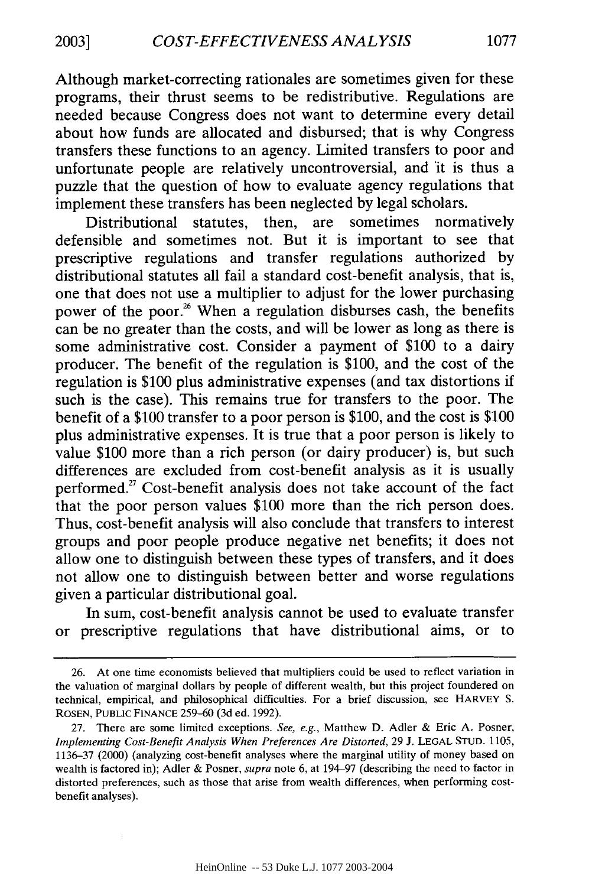Although market-correcting rationales are sometimes given for these programs, their thrust seems to be redistributive. Regulations are needed because Congress does not want to determine every detail about how funds are allocated and disbursed; that is why Congress transfers these functions to an agency. Limited transfers to poor and unfortunate people are relatively uncontroversial, and it is thus a puzzle that the question of how to evaluate agency regulations that implement these transfers has been neglected by legal scholars.

Distributional statutes, then, are sometimes normatively defensible and sometimes not. But it is important to see that prescriptive regulations and transfer regulations authorized by distributional statutes all fail a standard cost-benefit analysis, that is, one that does not use a multiplier to adjust for the lower purchasing power of the poor.<sup>26</sup> When a regulation disburses cash, the benefits can be no greater than the costs, and will be lower as long as there is some administrative cost. Consider a payment of \$100 to a dairy producer. The benefit of the regulation is \$100, and the cost of the regulation is \$100 plus administrative expenses (and tax distortions if such is the case). This remains true for transfers to the poor. The benefit of a \$100 transfer to a poor person is \$100, and the cost is \$100 plus administrative expenses. It is true that a poor person is likely to value \$100 more than a rich person (or dairy producer) is, but such differences are excluded from cost-benefit analysis as it is usually performed.<sup>27</sup> Cost-benefit analysis does not take account of the fact that the poor person values \$100 more than the rich person does. Thus, cost-benefit analysis will also conclude that transfers to interest groups and poor people produce negative net benefits; it does not allow one to distinguish between these types of transfers, and it does not allow one to distinguish between better and worse regulations given a particular distributional goal.

In sum, cost-benefit analysis cannot be used to evaluate transfer or prescriptive regulations that have distributional aims, or to

<sup>26.</sup> At one time economists believed that multipliers could be used to reflect variation in the valuation of marginal dollars by people of different wealth, but this project foundered on technical, empirical, and philosophical difficulties. For a brief discussion, see HARVEY S. ROSEN, PUBLIC **FINANCE** 259-60 (3d ed. 1992).

<sup>27.</sup> There are some limited exceptions. *See, e.g.,* Matthew D. Adler & Eric A. Posner, *Implementing Cost-Benefit Analysis When Preferences Are Distorted,* 29 J. LEGAL STUD. 1105, 1136-37 (2000) (analyzing cost-benefit analyses where the marginal utility of money based on wealth is factored in); Adler & Posner, *supra* note 6, at 194-97 (describing the need to factor in distorted preferences, such as those that arise from wealth differences, when performing costbenefit analyses).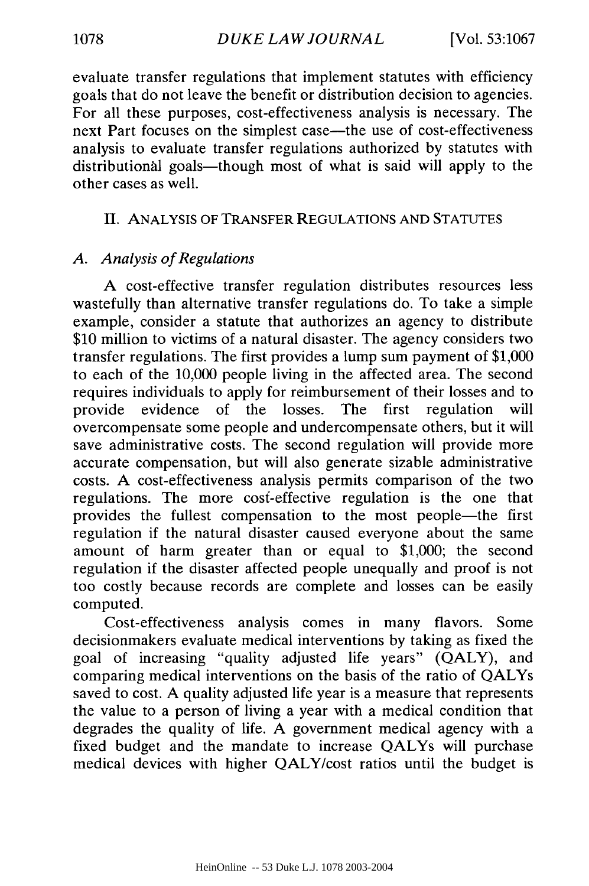evaluate transfer regulations that implement statutes with efficiency goals that do not leave the benefit or distribution decision to agencies. For all these purposes, cost-effectiveness analysis is necessary. The next Part focuses on the simplest case—the use of cost-effectiveness analysis to evaluate transfer regulations authorized by statutes with distributional goals—though most of what is said will apply to the other cases as well.

## II. ANALYSIS OF TRANSFER REGULATIONS AND STATUTES

## *A. Analysis of Regulations*

A cost-effective transfer regulation distributes resources less wastefully than alternative transfer regulations do. To take a simple example, consider a statute that authorizes an agency to distribute \$10 million to victims of a natural disaster. The agency considers two transfer regulations. The first provides a lump sum payment of \$1,000 to each of the 10,000 people living in the affected area. The second requires individuals to apply for reimbursement of their losses and to provide evidence of the losses. The first regulation will overcompensate some people and undercompensate others, but it will save administrative costs. The second regulation will provide more accurate compensation, but will also generate sizable administrative costs. A cost-effectiveness analysis permits comparison of the two regulations. The more cosf-effective regulation is the one that provides the fullest compensation to the most people-the first regulation if the natural disaster caused everyone about the same amount of harm greater than or equal to \$1,000; the second regulation if the disaster affected people unequally and proof is not too costly because records are complete and losses can be easily computed.

Cost-effectiveness analysis comes in many flavors. Some decisionmakers evaluate medical interventions by taking as fixed the goal of increasing "quality adjusted life years" (QALY), and comparing medical interventions on the basis of the ratio of QALYs saved to cost. A quality adjusted life year is a measure that represents the value to a person of living a year with a medical condition that degrades the quality of life. A government medical agency with a fixed budget and the mandate to increase QALYs will purchase medical devices with higher QALY/cost ratios until the budget is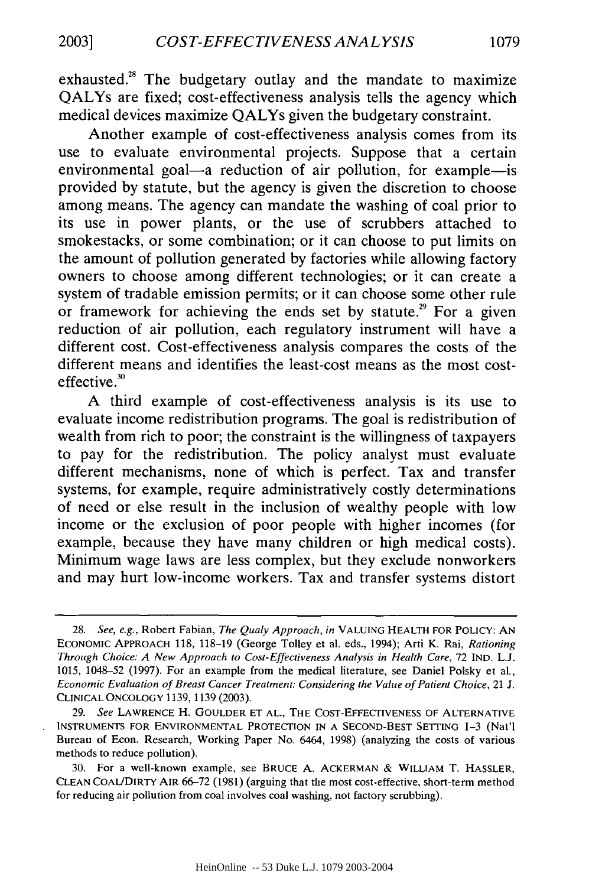exhausted.<sup>28</sup> The budgetary outlay and the mandate to maximize QALYs are fixed; cost-effectiveness analysis tells the agency which medical devices maximize QALYs given the budgetary constraint.

Another example of cost-effectiveness analysis comes from its use to evaluate environmental projects. Suppose that a certain environmental goal-a reduction of air pollution, for example-is provided by statute, but the agency is given the discretion to choose among means. The agency can mandate the washing of coal prior to its use in power plants, or the use of scrubbers attached to smokestacks, or some combination; or it can choose to put limits on the amount of pollution generated by factories while allowing factory owners to choose among different technologies; or it can create a system of tradable emission permits; or it can choose some other rule or framework for achieving the ends set by statute.<sup>29</sup> For a given reduction of air pollution, each regulatory instrument will have a different cost. Cost-effectiveness analysis compares the costs of the different means and identifies the least-cost means as the most costeffective.

A third example of cost-effectiveness analysis is its use to evaluate income redistribution programs. The goal is redistribution of wealth from rich to poor; the constraint is the willingness of taxpayers to pay for the redistribution. The policy analyst must evaluate different mechanisms, none of which is perfect. Tax and transfer systems, for example, require administratively costly determinations of need or else result in the inclusion of wealthy people with low income or the exclusion of poor people with higher incomes (for example, because they have many children or high medical costs). Minimum wage laws are less complex, but they exclude nonworkers and may hurt low-income workers. Tax and transfer systems distort

*<sup>28.</sup> See, e.g.,* Robert Fabian, *The Qualy Approach, in* **VALUING** HEALTH FOR POLICY: **AN** ECONOMIC APPROACH 118, 118-19 (George Tolley et al. eds., 1994); Arti K. Rai, *Rationing Through Choice: A New Approach to Cost-Effectiveness Analysis in Health Care,* 72 **IND.** L.J. 1015, 1048-52 (1997). For an example from the medical literature, see Daniel Polsky et al., *Economic Evaluation of Breast Cancer Treatment: Considering the Value of Patient Choice,* 21 J. CLINICAL ONCOLOGY 1139, 1139 (2003).

<sup>29.</sup> *See* LAWRENCE H. **GOULDER ET AL.,** THE **COST-EFFECTIVENESS** OF ALTERNATIVE **INSTRUMENTS** FOR **ENVIRONMENTAL** PROTECTION IN **A SECOND-BEST SETTING** 1-3 (Nat'l Bureau of Econ. Research, Working Paper No. 6464, 1998) (analyzing the costs of various methods to reduce pollution).

<sup>30.</sup> For a well-known example, see BRUCE A. ACKERMAN & WILLIAM T. HASSLER, CLEAN COAUDIRTY AIR 66-72 (1981) (arguing that the most cost-effective, short-term method for reducing air pollution from coal involves coal washing, not factory scrubbing).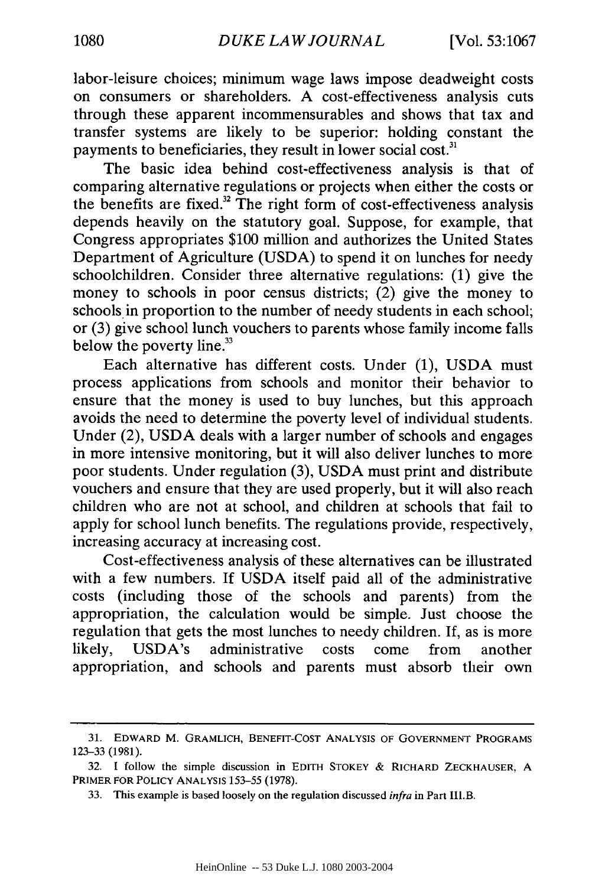labor-leisure choices; minimum wage laws impose deadweight costs on consumers or shareholders. A cost-effectiveness analysis cuts through these apparent incommensurables and shows that tax and transfer systems are likely to be superior: holding constant the payments to beneficiaries, they result in lower social cost.<sup>31</sup>

The basic idea behind cost-effectiveness analysis is that of comparing alternative regulations or projects when either the costs or the benefits are fixed." The right form of cost-effectiveness analysis depends heavily on the statutory goal. Suppose, for example, that Congress appropriates \$100 million and authorizes the United States Department of Agriculture (USDA) to spend it on lunches for needy schoolchildren. Consider three alternative regulations: (1) give the money to schools in poor census districts; (2) give the money to schools in proportion to the number of needy students in each school; or (3) give school lunch vouchers to parents whose family income falls below the poverty line.<sup>33</sup>

Each alternative has different costs. Under (1), USDA must process applications from schools and monitor their behavior to ensure that the money is used to buy lunches, but this approach avoids the need to determine the poverty level of individual students. Under (2), USDA deals with a larger number of schools and engages in more intensive monitoring, but it will also deliver lunches to more poor students. Under regulation (3), USDA must print and distribute vouchers and ensure that they are used properly, but it will also reach children who are not at school, and children at schools that fail to apply for school lunch benefits. The regulations provide, respectively, increasing accuracy at increasing cost.

Cost-effectiveness analysis of these alternatives can be illustrated with a few numbers. If USDA itself paid all of the administrative costs (including those of the schools and parents) from the appropriation, the calculation would be simple. Just choose the regulation that gets the most lunches to needy children. If, as is more likely, USDA's administrative costs come from another appropriation, and schools and parents must absorb their own

<sup>31.</sup> EDWARD M. GRAMLICH, **BENEFIT-COST ANALYSIS** OF **GOVERNMENT** PROGRAMS 123-33 (1981).

<sup>32.</sup> I follow the simple discussion in EDITH STOKEY & RICHARD ZECKHAUSER, A PRIMER FOR POLICY ANALYSIS 153-55 (1978).

<sup>33.</sup> This example is based loosely on the regulation discussed *infra* in Part IlI.B.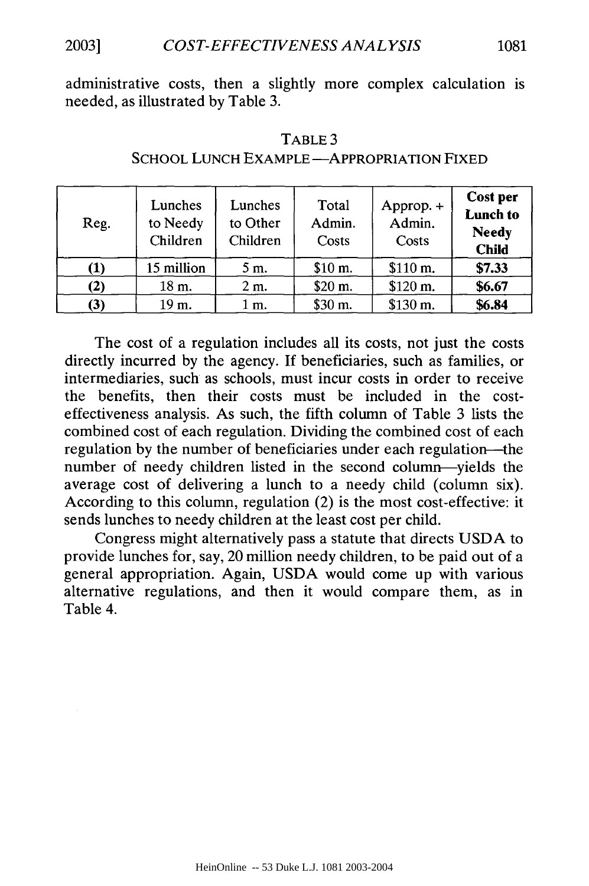administrative costs, then a slightly more complex calculation is needed, as illustrated by Table 3.

| Reg.     | Lunches<br>to Needy<br>Children | Lunches<br>to Other<br>Children | Total<br>Admin.<br>Costs | Approp. +<br>Admin.<br>Costs | Cost per<br><b>Lunch to</b><br><b>Needy</b><br><b>Child</b> |
|----------|---------------------------------|---------------------------------|--------------------------|------------------------------|-------------------------------------------------------------|
| $\bf(1)$ | 15 million                      | 5 m.                            | \$10 m.                  | \$110 m.                     | \$7.33                                                      |
| $\bf(2)$ | 18 m.                           | $2m$ .                          | \$20 m.                  | \$120 m.                     | \$6.67                                                      |
| (3)      | 19 m.                           | 1 m.                            | \$30 m.                  | \$130 m.                     | \$6.84                                                      |

#### TABLE 3

## SCHOOL LUNCH EXAMPLE - APPROPRIATION FIXED

The cost of a regulation includes all its costs, not just the costs directly incurred by the agency. If beneficiaries, such as families, or intermediaries, such as schools, must incur costs in order to receive the benefits, then their costs must be included in the costeffectiveness analysis. As such, the fifth column of Table 3 lists the combined cost of each regulation. Dividing the combined cost of each regulation by the number of beneficiaries under each regulation-the number of needy children listed in the second column-yields the average cost of delivering a lunch to a needy child (column six). According to this column, regulation (2) is the most cost-effective: it sends lunches to needy children at the least cost per child.

Congress might alternatively pass a statute that directs USDA to provide lunches for, say, 20 million needy children, to be paid out of a general appropriation. Again, USDA would come up with various alternative regulations, and then it would compare them, as in Table 4.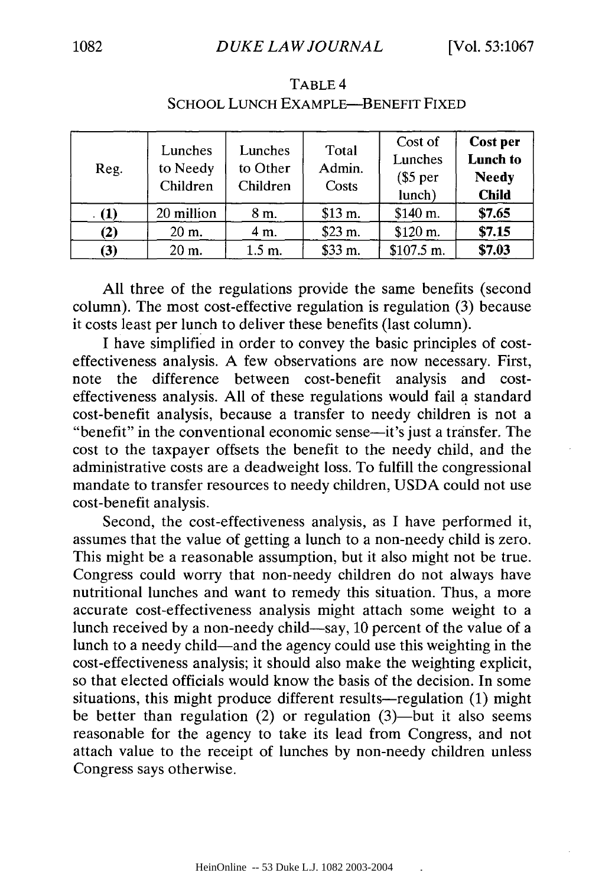| Reg.     | Lunches<br>to Needy<br>Children | Lunches<br>to Other<br>Children | Total<br>Admin.<br>Costs | Cost of<br>Lunches<br>$\$5$ per<br>lunch) | Cost per<br>Lunch to<br><b>Needy</b><br><b>Child</b> |
|----------|---------------------------------|---------------------------------|--------------------------|-------------------------------------------|------------------------------------------------------|
| $\bf(1)$ | 20 million                      | 8 m.                            | \$13 m.                  | \$140 m.                                  | \$7.65                                               |
| $\bf(2)$ | 20 m.                           | 4 m.                            | \$23 m.                  | \$120 m.                                  | \$7.15                                               |
| (3)      | 20 m.                           | $1.5 \text{ m.}$                | \$33 m.                  | $$107.5 \text{ m.}$                       | \$7.03                                               |

TABLE 4 SCHOOL LUNCH EXAMPLE-BENEFIT FIXED

**All** three of the regulations provide the same benefits (second column). The most cost-effective regulation is regulation **(3)** because it costs least per lunch to deliver these benefits (last column).

**I** have simplified in order to convey the basic principles of costeffectiveness analysis. **A** few observations are now necessary. First, note the difference between cost-benefit analysis and costeffectiveness analysis. **All** of these regulations would fail **a** standard cost-benefit analysis, because a transfer to needy children is not a "benefit" in the conventional economic sense-it's just a transfer. The cost to the taxpayer offsets the benefit to the needy child, and the administrative costs are a deadweight loss. To fulfill the congressional mandate to transfer resources to needy children, **USDA** could not use cost-benefit analysis.

Second, the cost-effectiveness analysis, as **I** have performed it, assumes that the value of getting a lunch to a non-needy child is zero. This might be a reasonable assumption, but it also might not be true. Congress could worry that non-needy children do not always have nutritional lunches and want to remedy this situation. Thus, a more accurate cost-effectiveness analysis might attach some weight to a lunch received **by** a non-needy child-say, **10** percent of the value of a lunch to a needy child-and the agency could use this weighting in the cost-effectiveness analysis; it should also make the weighting explicit, so that elected officials would know the basis of the decision. In some situations, this might produce different results-regulation (1) might be better than regulation  $(2)$  or regulation  $(3)$ —but it also seems reasonable for the agency to take its lead from Congress, and not attach value to the receipt of lunches **by** non-needy children unless Congress says otherwise.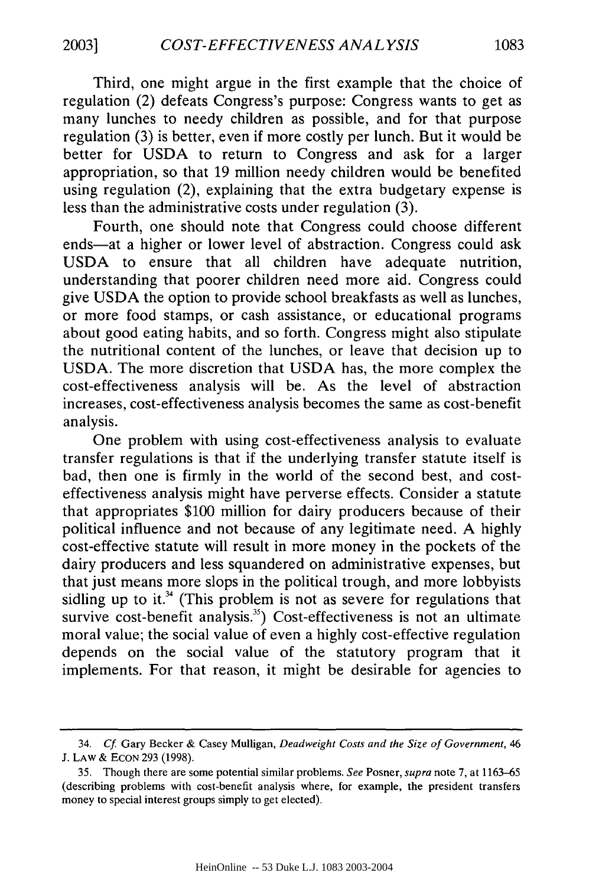Third, one might argue in the first example that the choice of regulation (2) defeats Congress's purpose: Congress wants to get as many lunches to needy children as possible, and for that purpose regulation (3) is better, even if more costly per lunch. But it would be better for USDA to return to Congress and ask for a larger appropriation, so that 19 million needy children would be benefited using regulation (2), explaining that the extra budgetary expense is less than the administrative costs under regulation (3).

Fourth, one should note that Congress could choose different ends-at a higher or lower level of abstraction. Congress could ask USDA to ensure that all children have adequate nutrition, understanding that poorer children need more aid. Congress could give USDA the option to provide school breakfasts as well as lunches, or more food stamps, or cash assistance, or educational programs about good eating habits, and so forth. Congress might also stipulate the nutritional content of the lunches, or leave that decision up to USDA. The more discretion that USDA has, the more complex the cost-effectiveness analysis will be. As the level of abstraction increases, cost-effectiveness analysis becomes the same as cost-benefit analysis.

One problem with using cost-effectiveness analysis to evaluate transfer regulations is that if the underlying transfer statute itself is bad, then one is firmly in the world of the second best, and costeffectiveness analysis might have perverse effects. Consider a statute that appropriates \$100 million for dairy producers because of their political influence and not because of any legitimate need. A highly cost-effective statute will result in more money in the pockets of the dairy producers and less squandered on administrative expenses, but that just means more slops in the political trough, and more lobbyists sidling up to it. $34$  (This problem is not as severe for regulations that survive cost-benefit analysis.<sup>35</sup>) Cost-effectiveness is not an ultimate moral value; the social value of even a highly cost-effective regulation depends on the social value of the statutory program that it implements. For that reason, it might be desirable for agencies to

<sup>34.</sup> *Cf* Gary Becker & Casey Mulligan, *Deadweight Costs and the Size of Government, 46* J. LAW & ECON 293 (1998).

<sup>35.</sup> Though there are some potential similar problems. *See* Posner, *supra* note 7, at 1163-65 (describing problems with cost-benefit analysis where, for example, the president transfers money to special interest groups simply to get elected).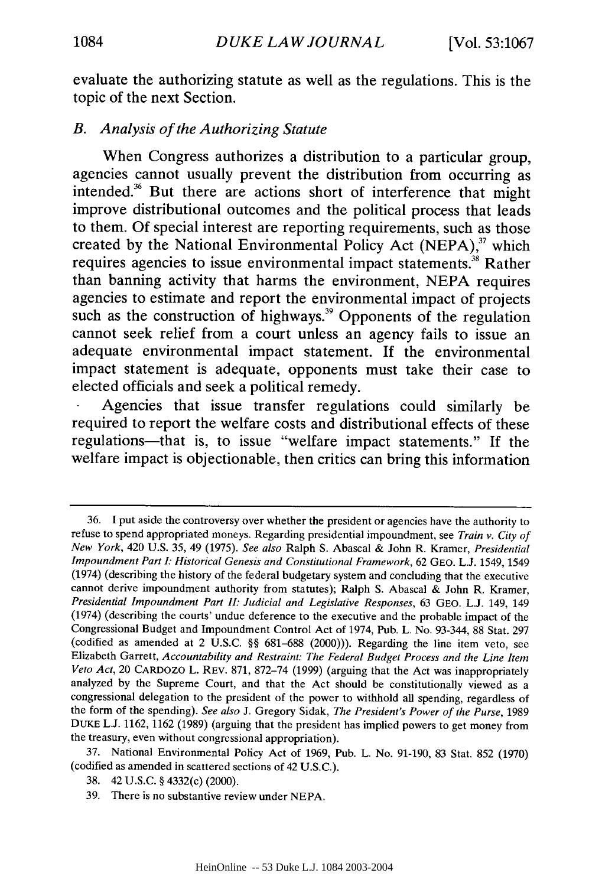evaluate the authorizing statute as well as the regulations. This is the topic of the next Section.

## *B. Analysis of the Authorizing Statute*

When Congress authorizes a distribution to a particular group, agencies cannot usually prevent the distribution from occurring as intended.<sup>36</sup> But there are actions short of interference that might improve distributional outcomes and the political process that leads to them. **Of** special interest are reporting requirements, such as those created by the National Environmental Policy Act (NEPA),<sup>37</sup> which requires agencies to issue environmental impact statements.<sup>38</sup> Rather than banning activity that harms the environment, **NEPA** requires agencies to estimate and report the environmental impact of projects such as the construction of highways.<sup>39</sup> Opponents of the regulation cannot seek relief from a court unless an agency fails to issue an adequate environmental impact statement. If the environmental impact statement is adequate, opponents must take their case to elected officials and seek a political remedy.

Agencies that issue transfer regulations could similarly be required to report the welfare costs and distributional effects of these regulations-that is, to issue "welfare impact statements." **If** the welfare impact is objectionable, then critics can bring this information

37. National Environmental Policy Act of 1969, Pub. L. No. 91-190, 83 Stat. 852 (1970) (codified as amended in scattered sections of 42 U.S.C.).

<sup>36.</sup> I put aside the controversy over whether the president or agencies have the authority to refuse to spend appropriated moneys. Regarding presidential impoundment, see *Train v. City of New York,* 420 U.S. 35, 49 (1975). *See also* Ralph S. Abascal & John R. Kramer, *Presidential Impoundment Part : Historical Genesis and Constitutional Framework,* 62 GEO. L.J. 1549, 1549 (1974) (describing the history of the federal budgetary system and concluding that the executive cannot derive impoundment authority from statutes); Ralph S. Abascal & John R. Kramer, *Presidential Impoundment Part I: Judicial and Legislative Responses,* 63 GEO. L.J. 149, 149 (1974) (describing the courts' undue deference to the executive and the probable impact of the Congressional Budget and Impoundment Control Act of 1974, Pub. L. No. 93-344, 88 Stat. 297 (codified as amended at 2 U.S.C. §§ 681-688 (2000))). Regarding the line item veto, see Elizabeth Garrett, *Accountability and Restraint: The Federal Budget Process and the Line Item Veto Act,* 20 CARDOZO L. REV. 871, 872-74 (1999) (arguing that the Act was inappropriately analyzed by the Supreme Court, and that the Act should be constitutionally viewed as a congressional delegation to the president of the power to withhold all spending, regardless of the form of the spending). *See also* J. Gregory Sidak, *The President's Power of the Purse,* 1989 DUKE L.J. 1162, 1162 (1989) (arguing that the president has implied powers to get money from the treasury, even without congressional appropriation).

<sup>38. 42</sup> U.S.C. § 4332(c) (2000).

<sup>39.</sup> There is no substantive review under NEPA.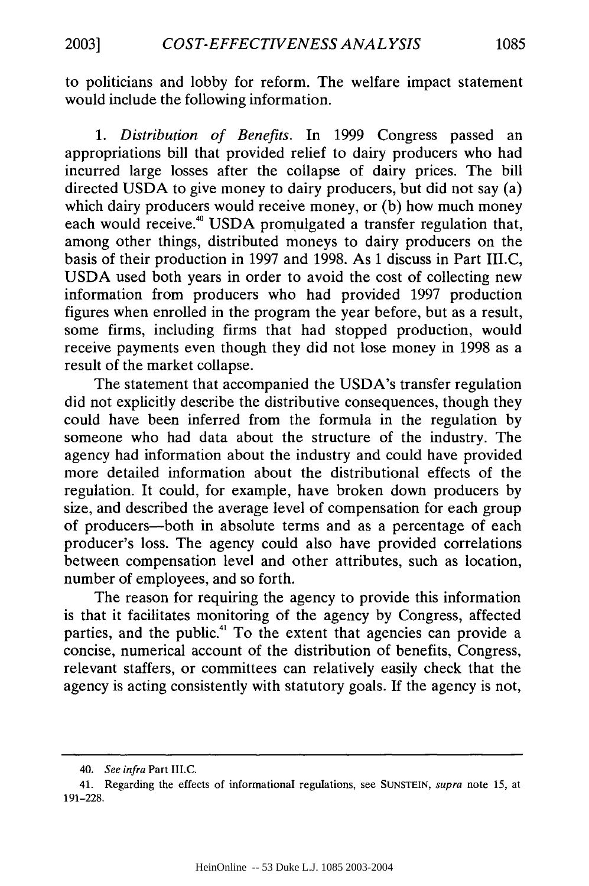to politicians and lobby for reform. The welfare impact statement would include the following information.

*1. Distribution of Benefits.* In 1999 Congress passed an appropriations bill that provided relief to dairy producers who had incurred large losses after the collapse of dairy prices. The bill directed USDA to give money to dairy producers, but did not say (a) which dairy producers would receive money, or (b) how much money each would receive.<sup>40</sup> USDA promulgated a transfer regulation that, among other things, distributed moneys to dairy producers on the basis of their production in 1997 and 1998. As I discuss in Part III.C, USDA used both years in order to avoid the cost of collecting new information from producers who had provided 1997 production figures when enrolled in the program the year before, but as a result, some firms, including firms that had stopped production, would receive payments even though they did not lose money in 1998 as a result of the market collapse.

The statement that accompanied the USDA's transfer regulation did not explicitly describe the distributive consequences, though they could have been inferred from the formula in the regulation by someone who had data about the structure of the industry. The agency had information about the industry and could have provided more detailed information about the distributional effects of the regulation. It could, for example, have broken down producers by size, and described the average level of compensation for each group of producers-both in absolute terms and as a percentage of each producer's loss. The agency could also have provided correlations between compensation level and other attributes, such as location, number of employees, and so forth.

The reason for requiring the agency to provide this information is that it facilitates monitoring of the agency by Congress, affected parties, and the public." To the extent that agencies can provide a concise, numerical account of the distribution of benefits, Congress, relevant staffers, or committees can relatively easily check that the agency is acting consistently with statutory goals. If the agency is not,

<sup>40.</sup> *See infra* Part III.C.

<sup>41.</sup> Regarding the effects of informational regulations, see SUNSTEIN, *supra* note 15, at 191-228.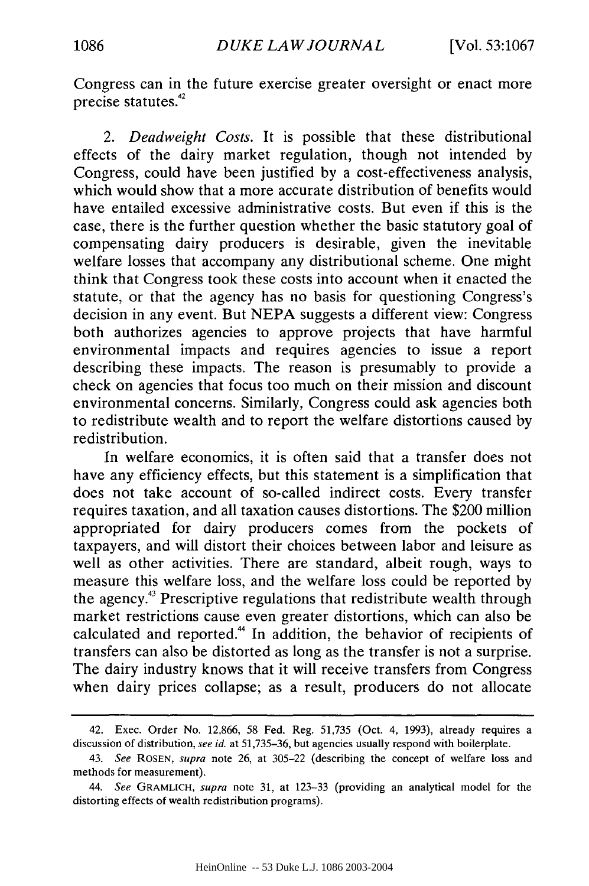Congress can in the future exercise greater oversight or enact more precise statutes. $42$ 

*2. Deadweight Costs.* It is possible that these distributional effects of the dairy market regulation, though not intended by Congress, could have been justified by a cost-effectiveness analysis, which would show that a more accurate distribution of benefits would have entailed excessive administrative costs. But even if this is the case, there is the further question whether the basic statutory goal of compensating dairy producers is desirable, given the inevitable welfare losses that accompany any distributional scheme. One might think that Congress took these costs into account when it enacted the statute, or that the agency has no basis for questioning Congress's decision in any event. But NEPA suggests a different view: Congress both authorizes agencies to approve projects that have harmful environmental impacts and requires agencies to issue a report describing these impacts. The reason is presumably to provide a check on agencies that focus too much on their mission and discount environmental concerns. Similarly, Congress could ask agencies both to redistribute wealth and to report the welfare distortions caused by redistribution.

In welfare economics, it is often said that a transfer does not have any efficiency effects, but this statement is a simplification that does not take account of so-called indirect costs. Every transfer requires taxation, and all taxation causes distortions. The \$200 million appropriated for dairy producers comes from the pockets of taxpayers, and will distort their choices between labor and leisure as well as other activities. There are standard, albeit rough, ways to measure this welfare loss, and the welfare loss could be reported by the agency.43 Prescriptive regulations that redistribute wealth through market restrictions cause even greater distortions, which can also be calculated and reported." In addition, the behavior of recipients of transfers can also be distorted as long as the transfer is not a surprise. The dairy industry knows that it will receive transfers from Congress when dairy prices collapse; as a result, producers do not allocate

<sup>42.</sup> Exec. Order No. 12,866, 58 Fed. Reg. 51,735 (Oct. 4, 1993), already requires a discussion of distribution, see id. at 51,735-36, but agencies usually respond with boilerplate.

<sup>43.</sup> See ROSEN, supra note 26, at 305-22 (describing the concept of welfare loss and methods for measurement).

<sup>44.</sup> *See* GRAMLICH, supra note 31, at 123-33 (providing an analytical model for the distorting effects of wealth redistribution programs).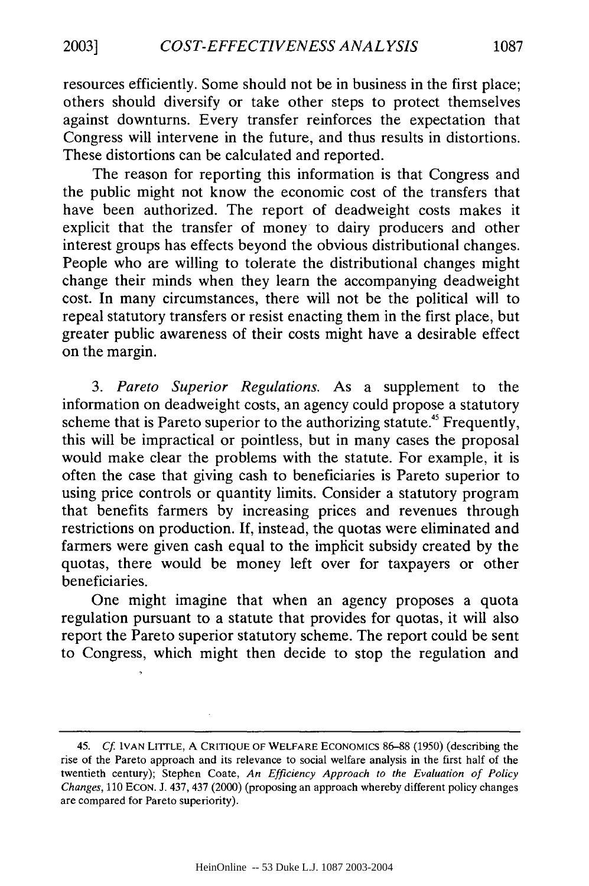resources efficiently. Some should not be in business in the first place; others should diversify or take other steps to protect themselves against downturns. Every transfer reinforces the expectation that Congress will intervene in the future, and thus results in distortions. These distortions can be calculated and reported.

The reason for reporting this information is that Congress and the public might not know the economic cost of the transfers that have been authorized. The report of deadweight costs makes it explicit that the transfer of money to dairy producers and other interest groups has effects beyond the obvious distributional changes. People who are willing to tolerate the distributional changes might change their minds when they learn the accompanying deadweight cost. In many circumstances, there will not be the political will to repeal statutory transfers or resist enacting them in the first place, but greater public awareness of their costs might have a desirable effect on the margin.

*3. Pareto Superior Regulations.* As a supplement to the information on deadweight costs, an agency could propose a statutory scheme that is Pareto superior to the authorizing statute.<sup>45</sup> Frequently, this will be impractical or pointless, but in many cases the proposal would make clear the problems with the statute. For example, it is often the case that giving cash to beneficiaries is Pareto superior to using price controls or quantity limits. Consider a statutory program that benefits farmers by increasing prices and revenues through restrictions on production. If, instead, the quotas were eliminated and farmers were given cash equal to the implicit subsidy created by the quotas, there would be money left over for taxpayers or other beneficiaries.

One might imagine that when an agency proposes a quota regulation pursuant to a statute that provides for quotas, it will also report the Pareto superior statutory scheme. The report could be sent to Congress, which might then decide to stop the regulation and

<sup>45.</sup> *Cf.* IVAN LITrLE, A CRITIQUE OF WELFARE ECONOMICS **86-88** (1950) (describing the rise of the Pareto approach and its relevance to social welfare analysis in the first half of the twentieth century); Stephen Coate, *An Efficiency Approach to the Evaluation of Policy Changes,* 110 ECON. J. 437, 437 (2000) (proposing an approach whereby different policy changes are compared for Pareto superiority).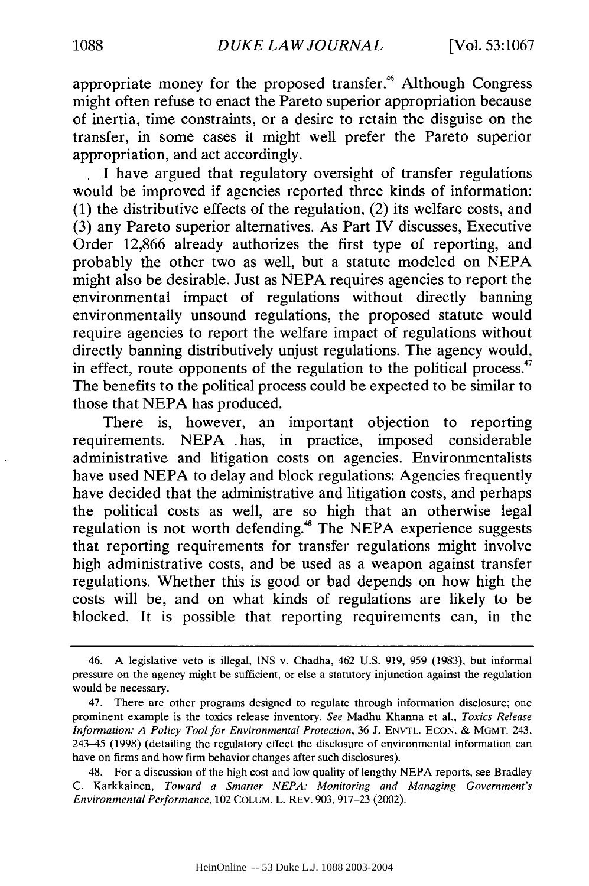appropriate money for the proposed transfer.<sup>46</sup> Although Congress might often refuse to enact the Pareto superior appropriation because of inertia, time constraints, or a desire to retain the disguise on the transfer, in some cases it might well prefer the Pareto superior appropriation, and act accordingly.

I have argued that regulatory oversight of transfer regulations would be improved if agencies reported three kinds of information: (1) the distributive effects of the regulation, (2) its welfare costs, and (3) any Pareto superior alternatives. As Part IV discusses, Executive Order 12,866 already authorizes the first type of reporting, and probably the other two as well, but a statute modeled on NEPA might also be desirable. Just as NEPA requires agencies to report the environmental impact of regulations without directly banning environmentally unsound regulations, the proposed statute would require agencies to report the welfare impact of regulations without directly banning distributively unjust regulations. The agency would, in effect, route opponents of the regulation to the political process.<sup>47</sup> The benefits to the political process could be expected to be similar to those that NEPA has produced.

There is, however, an important objection to reporting requirements. NEPA .has, in practice, imposed considerable administrative and litigation costs on agencies. Environmentalists have used NEPA to delay and block regulations: Agencies frequently have decided that the administrative and litigation costs, and perhaps the political costs as well, are so high that an otherwise legal regulation is not worth defending.<sup>48</sup> The NEPA experience suggests that reporting requirements for transfer regulations might involve high administrative costs, and be used as a weapon against transfer regulations. Whether this is good or bad depends on how high the costs will be, and on what kinds of regulations are likely to be blocked. It is possible that reporting requirements can, in the

<sup>46.</sup> A legislative veto is illegal, INS v. Chadha, 462 U.S. 919, 959 (1983), but informal pressure on the agency might be sufficient, or else a statutory injunction against the regulation would be necessary.

<sup>47.</sup> There are other programs designed to regulate through information disclosure; one prominent example is the toxics release inventory. *See* Madhu Khanna et al., *Toxics Release Information: A Policy Tool for Environmental Protection,* 36 **J.** ENVTL. ECON. & MGMT. 243, 243-45 (1998) (detailing the regulatory effect the disclosure of environmental information can have on firms and how firm behavior changes after such disclosures).

<sup>48.</sup> For a discussion of the high cost and low quality of lengthy NEPA reports, see Bradley C. Karkkainen, *Toward a Smarter NEPA: Monitoring and Managing Government's Environmental Performance,* 102 **COLUM.** L. REV. 903, 917-23 (2002).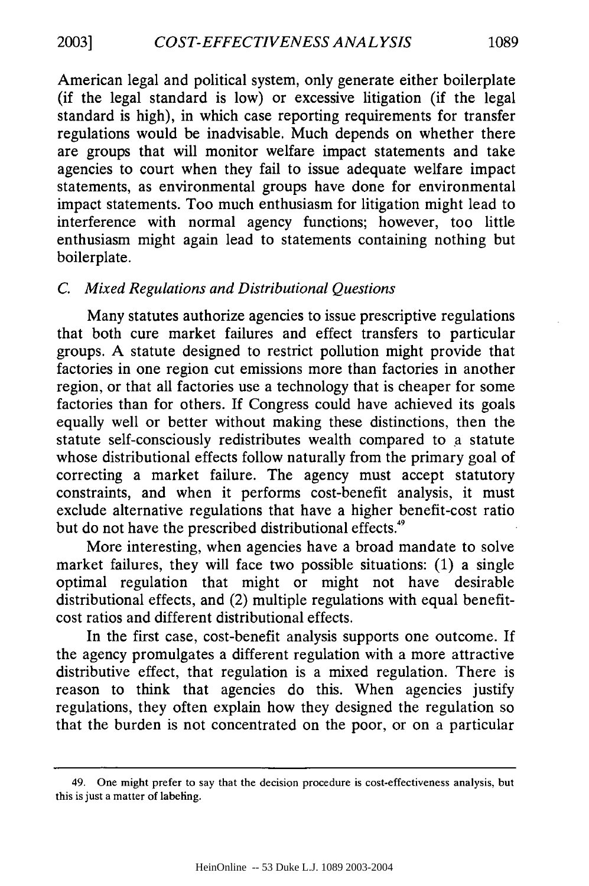American legal and political system, only generate either boilerplate (if the legal standard is low) or excessive litigation (if the legal standard is high), in which case reporting requirements for transfer regulations would be inadvisable. Much depends on whether there are groups that will monitor welfare impact statements and take agencies to court when they fail to issue adequate welfare impact statements, as environmental groups have done for environmental impact statements. Too much enthusiasm for litigation might lead to interference with normal agency functions; however, too little enthusiasm might again lead to statements containing nothing but boilerplate.

## *C. Mixed Regulations and Distributional Questions*

Many statutes authorize agencies to issue prescriptive regulations that both cure market failures and effect transfers to particular groups. A statute designed to restrict pollution might provide that factories in one region cut emissions more than factories in another region, or that all factories use a technology that is cheaper for some factories than for others. If Congress could have achieved its goals equally well or better without making these distinctions, then the statute self-consciously redistributes wealth compared to a statute whose distributional effects follow naturally from the primary goal of correcting a market failure. The agency must accept statutory constraints, and when it performs cost-benefit analysis, it must exclude alternative regulations that have a higher benefit-cost ratio but do not have the prescribed distributional effects.<sup>49</sup>

More interesting, when agencies have a broad mandate to solve market failures, they will face two possible situations: (1) a single optimal regulation that might or might not have desirable distributional effects, and (2) multiple regulations with equal benefitcost ratios and different distributional effects.

In the first case, cost-benefit analysis supports one outcome. If the agency promulgates a different regulation with a more attractive distributive effect, that regulation is a mixed regulation. There is reason to think that agencies do this. When agencies justify regulations, they often explain how they designed the regulation so that the burden is not concentrated on the poor, or on a particular

<sup>49.</sup> One might prefer to say that the decision procedure is cost-effectiveness analysis, but this is just a matter of labeling.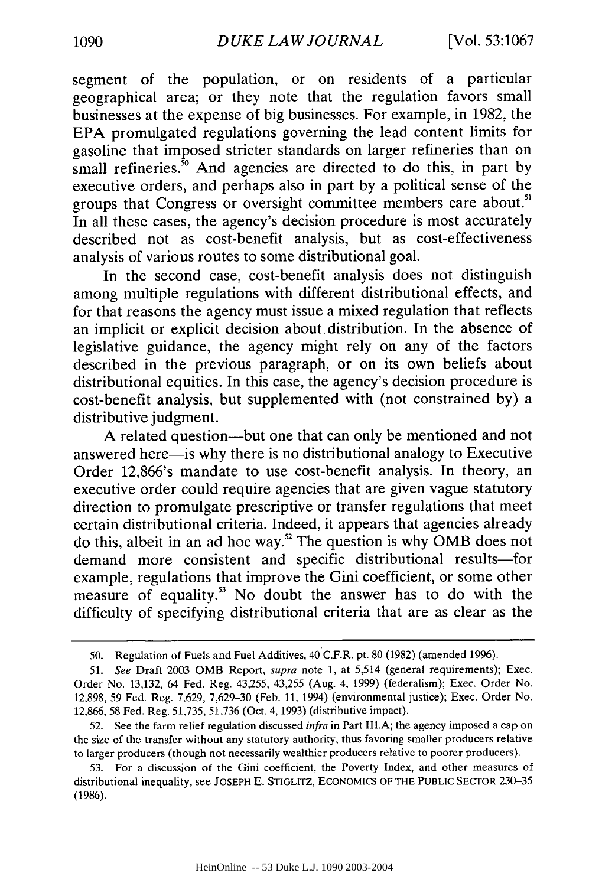segment of the population, or on residents of a particular geographical area; or they note that the regulation favors small businesses at the expense of big businesses. For example, in 1982, the EPA promulgated regulations governing the lead content limits for gasoline that imposed stricter standards on larger refineries than on small refineries. $50$  And agencies are directed to do this, in part by executive orders, and perhaps also in part by a political sense of the groups that Congress or oversight committee members care about.<sup>51</sup> In all these cases, the agency's decision procedure is most accurately described not as cost-benefit analysis, but as cost-effectiveness analysis of various routes to some distributional goal.

In the second case, cost-benefit analysis does not distinguish among multiple regulations with different distributional effects, and for that reasons the agency must issue a mixed regulation that reflects an implicit or explicit decision about. distribution. In the absence of legislative guidance, the agency might rely on any of the factors described in the previous paragraph, or on its own beliefs about distributional equities. In this case, the agency's decision procedure is cost-benefit analysis, but supplemented with (not constrained by) a distributive judgment.

A related question-but one that can only be mentioned and not answered here-is why there is no distributional analogy to Executive Order 12,866's mandate to use cost-benefit analysis. In theory, an executive order could require agencies that are given vague statutory direction to promulgate prescriptive or transfer regulations that meet certain distributional criteria. Indeed, it appears that agencies already do this, albeit in an ad hoc way.<sup>52</sup> The question is why OMB does not demand more consistent and specific distributional results-for example, regulations that improve the Gini coefficient, or some other measure of equality.<sup>53</sup> No doubt the answer has to do with the difficulty of specifying distributional criteria that are as clear as the

<sup>50.</sup> Regulation of Fuels and Fuel Additives, 40 C.F.R. pt. 80 (1982) (amended 1996).

*<sup>51.</sup> See* Draft 2003 OMB Report, *supra* note 1, at 5,514 (general requirements); Exec. Order No. 13,132, 64 Fed. Reg. 43,255, 43,255 (Aug. 4, 1999) (federalism); Exec. Order No. 12,898, 59 Fed. Reg. 7,629, 7,629-30 (Feb. 11, 1994) (environmental justice); Exec. Order No. 12,866, 58 Fed. Reg. 51,735, 51,736 (Oct. 4, 1993) (distributive impact).

<sup>52.</sup> See the farm relief regulation discussed *infra* in Part **IlIl.A;** the agency imposed a cap on the size of the transfer without any statutory authority, thus favoring smaller producers relative to larger producers (though not necessarily wealthier producers relative to poorer producers).

<sup>53.</sup> For a discussion of the Gini coefficient, the Poverty Index, and other measures of distributional inequality, see **JOSEPH** E. STIGLITZ, **ECONOMICS** OF THE **PUBLIC** SECrOR 230-35 (1986).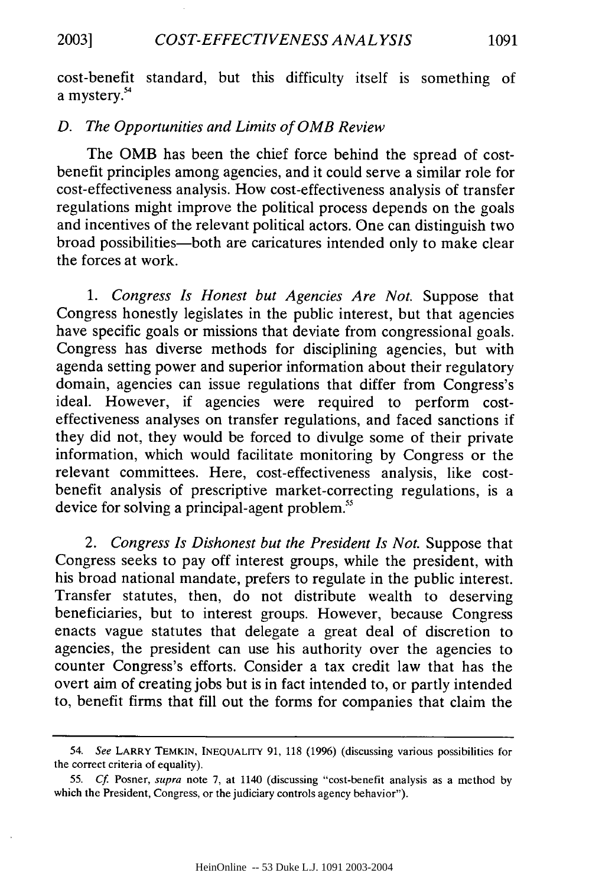cost-benefit standard, but this difficulty itself is something of a mystery.<sup>54</sup>

## *D. The Opportunities and Limits of* OMB *Review*

The OMB has been the chief force behind the spread of costbenefit principles among agencies, and it could serve a similar role for cost-effectiveness analysis. How cost-effectiveness analysis of transfer regulations might improve the political process depends on the goals and incentives of the relevant political actors. One can distinguish two broad possibilities-both are caricatures intended only to make clear the forces at work.

*1. Congress Is Honest but Agencies Are Not.* Suppose that Congress honestly legislates in the public interest, but that agencies have specific goals or missions that deviate from congressional goals. Congress has diverse methods for disciplining agencies, but with agenda setting power and superior information about their regulatory domain, agencies can issue regulations that differ from Congress's ideal. However, if agencies were required to perform costeffectiveness analyses on transfer regulations, and faced sanctions if they did not, they would be forced to divulge some of their private information, which would facilitate monitoring by Congress or the relevant committees. Here, cost-effectiveness analysis, like costbenefit analysis of prescriptive market-correcting regulations, is a device for solving a principal-agent problem.<sup>55</sup>

*2. Congress Is Dishonest but the President Is Not.* Suppose that Congress seeks to pay off interest groups, while the president, with his broad national mandate, prefers to regulate in the public interest. Transfer statutes, then, do not distribute wealth to deserving beneficiaries, but to interest groups. However, because Congress enacts vague statutes that delegate a great deal of discretion to agencies, the president can use his authority over the agencies to counter Congress's efforts. Consider a tax credit law that has the overt aim of creating jobs but is in fact intended to, or partly intended to, benefit firms that fill out the forms for companies that claim the

<sup>54.</sup> *See* LARRY TEMKIN, INEQUALITY **91,** 118 (1996) (discussing various possibilities for the correct criteria of equality).

<sup>55.</sup> Cf. Posner, supra note 7, at 1140 (discussing "cost-benefit analysis as a method by which the President, Congress, or the judiciary controls agency behavior").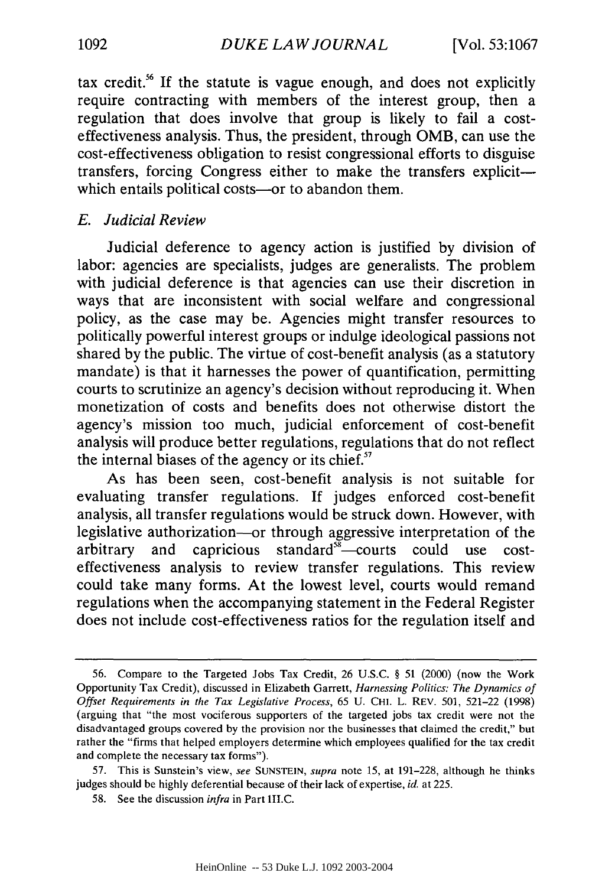tax credit.<sup>56</sup> If the statute is vague enough, and does not explicitly require contracting with members of the interest group, then a regulation that does involve that group is likely to fail a costeffectiveness analysis. Thus, the president, through OMB, can use the cost-effectiveness obligation to resist congressional efforts to disguise transfers, forcing Congress either to make the transfers explicitwhich entails political costs-or to abandon them.

## *E. Judicial Review*

Judicial deference to agency action is justified by division of labor: agencies are specialists, judges are generalists. The problem with judicial deference is that agencies can use their discretion in ways that are inconsistent with social welfare and congressional policy, as the case may be. Agencies might transfer resources to politically powerful interest groups or indulge ideological passions not shared by the public. The virtue of cost-benefit analysis (as a statutory mandate) is that it harnesses the power of quantification, permitting courts to scrutinize an agency's decision without reproducing it. When monetization of costs and benefits does not otherwise distort the agency's mission too much, judicial enforcement of cost-benefit analysis will produce better regulations, regulations that do not reflect the internal biases of the agency or its chief.<sup>57</sup>

As has been seen, cost-benefit analysis is not suitable for evaluating transfer regulations. If judges enforced cost-benefit analysis, all transfer regulations would be struck down. However, with legislative authorization-or through aggressive interpretation of the arbitrary and capricious standard $\overline{5}$  courts could use costeffectiveness analysis to review transfer regulations. This review could take many forms. At the lowest level, courts would remand regulations when the accompanying statement in the Federal Register does not include cost-effectiveness ratios for the regulation itself and

<sup>56.</sup> Compare to the Targeted Jobs Tax Credit, 26 U.S.C. § 51 (2000) (now the Work Opportunity Tax Credit), discussed in Elizabeth Garrett, *Harnessing Politics: The Dynamics of Offset Requirements in the Tax Legislative Process,* 65 U. CHI. L. REV. 501, 521-22 (1998) (arguing that "the most vociferous supporters of the targeted jobs tax credit were not the disadvantaged groups covered by the provision nor the businesses that claimed the credit," but rather the "firms that helped employers determine which employees qualified for the tax credit and complete the necessary tax forms").

<sup>57.</sup> This is Sunstein's view, *see* SUNSTEIN, *supra* note 15, at 191-228, although he thinks judges should be highly deferential because of their lack of expertise, *id.* at 225.

<sup>58.</sup> See the discussion *infra* in Part III.C.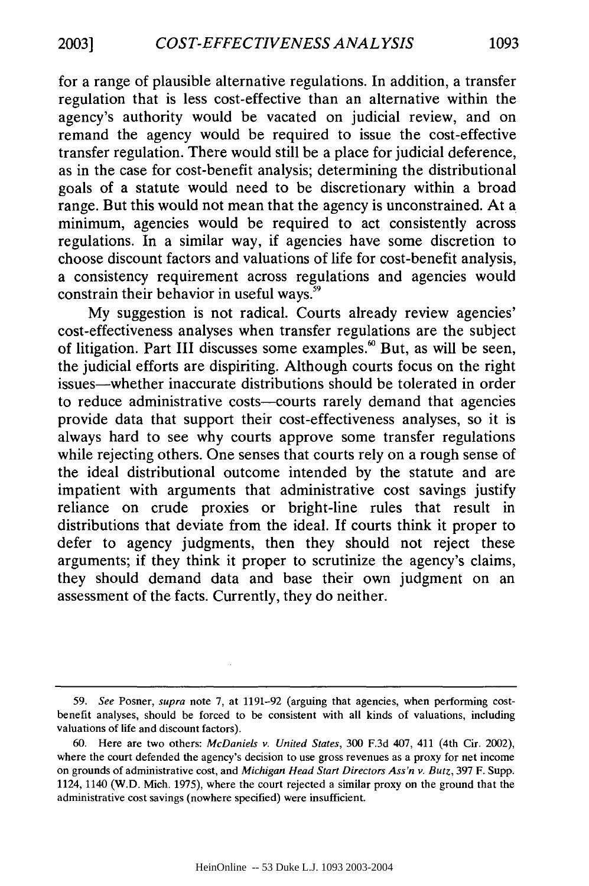for a range of plausible alternative regulations. In addition, a transfer regulation that is less cost-effective than an alternative within the agency's authority would be vacated on judicial review, and on remand the agency would be required to issue the cost-effective transfer regulation. There would still be a place for judicial deference, as in the case for cost-benefit analysis; determining the distributional goals of a statute would need to be discretionary within a broad range. But this would not mean that the agency is unconstrained. At a minimum, agencies would be required to act consistently across regulations. In a similar way, if agencies have some discretion to choose discount factors and valuations of life for cost-benefit analysis, a consistency requirement across regulations and agencies would constrain their behavior in useful ways.<sup>59</sup>

My suggestion is not radical. Courts already review agencies' cost-effectiveness analyses when transfer regulations are the subject of litigation. Part III discusses some examples.<sup>60</sup> But, as will be seen, the judicial efforts are dispiriting. Although courts focus on the right issues-whether inaccurate distributions should be tolerated in order to reduce administrative costs-courts rarely demand that agencies provide data that support their cost-effectiveness analyses, so it is always hard to see why courts approve some transfer regulations while rejecting others. One senses that courts rely on a rough sense of the ideal distributional outcome intended by the statute and are impatient with arguments that administrative cost savings justify reliance on crude proxies or bright-line rules that result in distributions that deviate from the ideal. If courts think it proper to defer to agency judgments, then they should not reject these arguments; if they think it proper to scrutinize the agency's claims, they should demand data and base their own judgment on an assessment of the facts. Currently, they do neither.

*<sup>59.</sup> See* Posner, *supra* note 7, at 1191-92 (arguing that agencies, when performing costbenefit analyses, should be forced to be consistent with all kinds of valuations, including valuations of life and discount factors).

<sup>60.</sup> Here are two others: *McDaniels v. United States,* 300 F.3d 407, 411 (4th Cir. 2002), where the court defended the agency's decision to use gross revenues as a proxy for net income on grounds of administrative cost, and *Michigan Head Start Directors Ass'n v. Butz,* 397 F. Supp. 1124, 1140 (W.D. Mich. 1975), where the court rejected a similar proxy on the ground that the administrative cost savings (nowhere specified) were insufficient.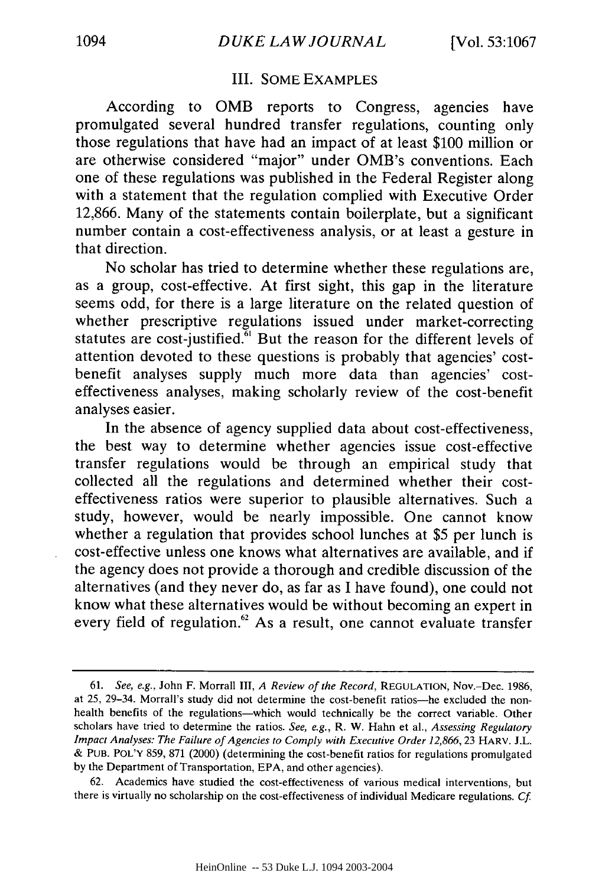## III. SOME EXAMPLES

According to OMB reports to Congress, agencies have promulgated several hundred transfer regulations, counting only those regulations that have had an impact of at least \$100 million or are otherwise considered "major" under OMB's conventions. Each one of these regulations was published in the Federal Register along with a statement that the regulation complied with Executive Order 12,866. Many of the statements contain boilerplate, but a significant number contain a cost-effectiveness analysis, or at least a gesture in that direction.

No scholar has tried to determine whether these regulations are, as a group, cost-effective. At first sight, this gap in the literature seems odd, for there is a large literature on the related question of whether prescriptive regulations issued under market-correcting statutes are cost-justified. $\overline{6}$ <sup>1</sup> But the reason for the different levels of attention devoted to these questions is probably that agencies' costbenefit analyses supply much more data than agencies' costeffectiveness analyses, making scholarly review of the cost-benefit analyses easier.

In the absence of agency supplied data about cost-effectiveness, the best way to determine whether agencies issue cost-effective transfer regulations would be through an empirical study that collected all the regulations and determined whether their costeffectiveness ratios were superior to plausible alternatives. Such a study, however, would be nearly impossible. One cannot know whether a regulation that provides school lunches at \$5 per lunch is cost-effective unless one knows what alternatives are available, and if the agency does not provide a thorough and credible discussion of the alternatives (and they never do, as far as I have found), one could not know what these alternatives would be without becoming an expert in every field of regulation. $62$  As a result, one cannot evaluate transfer

<sup>61.</sup> *See, e.g.,* John F. Morrall III, *A Review of the Record,* **REGULATION,** Nov.-Dec. 1986, at 25, 29-34. Morrall's study did not determine the cost-benefit ratios-he excluded the nonhealth benefits of the regulations-which would technically be the correct variable. Other scholars have tried to determine the ratios. *See, e.g.,* R. W. Hahn et al., *Assessing Regulatory Impact Analyses: The Failure of Agencies to Comply with Executive Order 12,866, 23 HARV. J.L.* & **PUB.** POL'Y 859, 871 (2000) (determining the cost-benefit ratios for regulations promulgated by the Department of Transportation, EPA, and other agencies).

<sup>62.</sup> Academics have studied the cost-effectiveness of various medical interventions, but there is virtually no scholarship on the cost-effectiveness of individual Medicare regulations. *Cf.*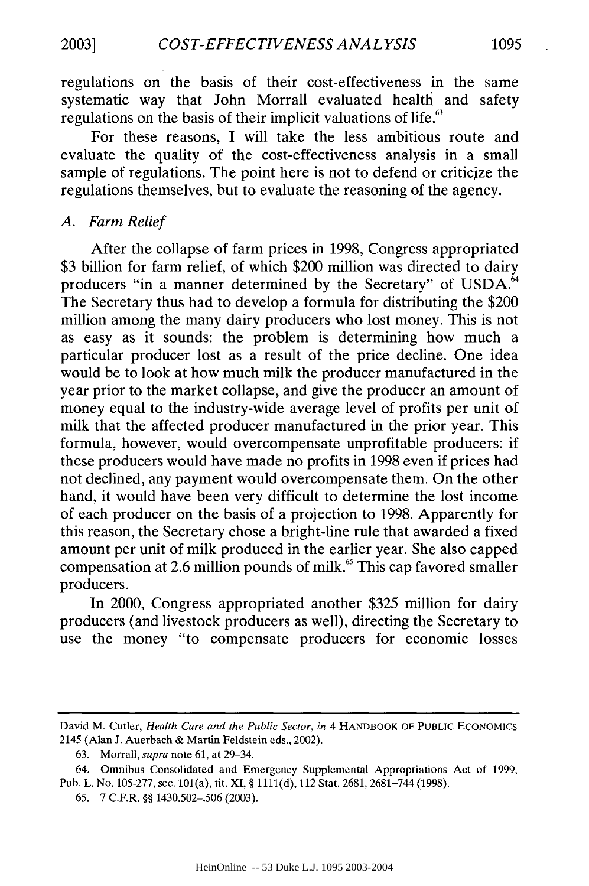regulations on the basis of their cost-effectiveness in the same systematic way that John Morrall evaluated health and safety regulations on the basis of their implicit valuations of life.<sup>63</sup>

For these reasons, I will take the less ambitious route and evaluate the quality of the cost-effectiveness analysis in a small sample of regulations. The point here is not to defend or criticize the regulations themselves, but to evaluate the reasoning of the agency.

## *A. Farm Relief*

After the collapse of farm prices in 1998, Congress appropriated \$3 billion for farm relief, of which \$200 million was directed to dairy producers "in a manner determined by the Secretary" of USDA.<sup>64</sup> The Secretary thus had to develop a formula for distributing the \$200 million among the many dairy producers who lost money. This is not as easy as it sounds: the problem is determining how much a particular producer lost as a result of the price decline. One idea would be to look at how much milk the producer manufactured in the year prior to the market collapse, and give the producer an amount of money equal to the industry-wide average level of profits per unit of milk that the affected producer manufactured in the prior year. This formula, however, would overcompensate unprofitable producers: if these producers would have made no profits in 1998 even if prices had not declined, any payment would overcompensate them. On the other hand, it would have been very difficult to determine the lost income of each producer on the basis of a projection to 1998. Apparently for this reason, the Secretary chose a bright-line rule that awarded a fixed amount per unit of milk produced in the earlier year. She also capped compensation at 2.6 million pounds of milk.<sup>65</sup> This cap favored smaller producers.

In 2000, Congress appropriated another \$325 million for dairy producers (and livestock producers as well), directing the Secretary to use the money "to compensate producers for economic losses

David M. Cutler, *Health Care and the Public Sector, in* 4 HANDBOOK OF PUBLIC **ECONOMICS** 2145 (Alan J. Auerbach & Martin Feldstein eds., 2002).

<sup>63.</sup> Morrall, *supra* note 61, at 29-34.

<sup>64.</sup> Omnibus Consolidated and Emergency Supplemental Appropriations Act of 1999, Pub. L. No. 105-277, sec. 101(a), tit. XI, § **1111(d),** 112 Stat. 2681, 2681-744 (1998).

<sup>65. 7</sup> C.F.R. §§ 1430.502-.506 (2003).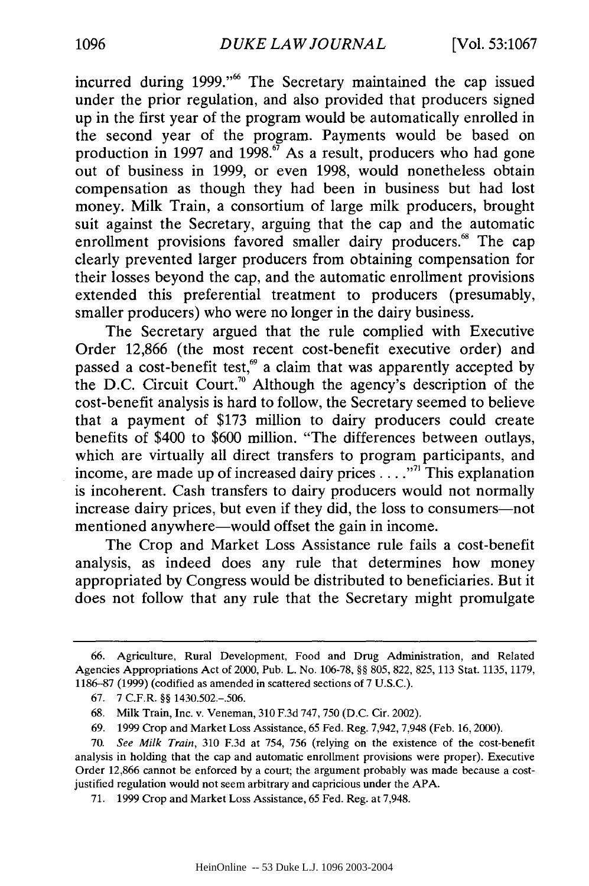incurred during 1999."<sup>66</sup> The Secretary maintained the cap issued under the prior regulation, and also provided that producers signed up in the first year of the program would be automatically enrolled in the second year of the program. Payments would be based on production in 1997 and 1998.<sup>67</sup> As a result, producers who had gone out of business in 1999, or even 1998, would nonetheless obtain compensation as though they had been in business but had lost money. Milk Train, a consortium of large milk producers, brought suit against the Secretary, arguing that the cap and the automatic enrollment provisions favored smaller dairy producers.<sup>68</sup> The cap clearly prevented larger producers from obtaining compensation for their losses beyond the cap, and the automatic enrollment provisions extended this preferential treatment to producers (presumably, smaller producers) who were no longer in the dairy business.

The Secretary argued that the rule complied with Executive Order 12,866 (the most recent cost-benefit executive order) and passed a cost-benefit test,<sup>69</sup> a claim that was apparently accepted by the D.C. Circuit Court.<sup>70</sup> Although the agency's description of the cost-benefit analysis is hard to follow, the Secretary seemed to believe that a payment of \$173 million to dairy producers could create benefits of \$400 to \$600 million. "The differences between outlays, which are virtually all direct transfers to program participants, and income, are made up of increased dairy prices.... **."'** This explanation is incoherent. Cash transfers to dairy producers would not normally increase dairy prices, but even if they did, the loss to consumers—not mentioned anywhere—would offset the gain in income.

The Crop and Market Loss Assistance rule fails a cost-benefit analysis, as indeed does any rule that determines how money appropriated by Congress would be distributed to beneficiaries. But it does not follow that any rule that the Secretary might promulgate

<sup>66.</sup> Agriculture, Rural Development, Food and Drug Administration, and Related Agencies Appropriations Act of 2000, Pub. L. No. 106-78, §§ 805, 822, 825, 113 Stat. 1135, 1179, 1186-87 (1999) (codified as amended in scattered sections of 7 U.S.C.).

<sup>67. 7</sup> C.F.R. §§ 1430.502.-.506.

<sup>68.</sup> Milk Train, Inc. v. Veneman, 310 F.3d 747,750 (D.C. Cir. 2002).

<sup>69. 1999</sup> Crop and Market Loss Assistance, 65 Fed. Reg. 7,942, 7,948 (Feb. 16, 2000).

<sup>70.</sup> *See Milk Train,* 310 F.3d at 754, 756 (relying on the existence of the cost-benefit analysis in holding that the cap and automatic enrollment provisions were proper). Executive Order 12,866 cannot be enforced by a court; the argument probably was made because a costjustified regulation would not seem arbitrary and capricious under the APA.

<sup>71. 1999</sup> Crop and Market Loss Assistance, 65 Fed. Reg. at 7,948.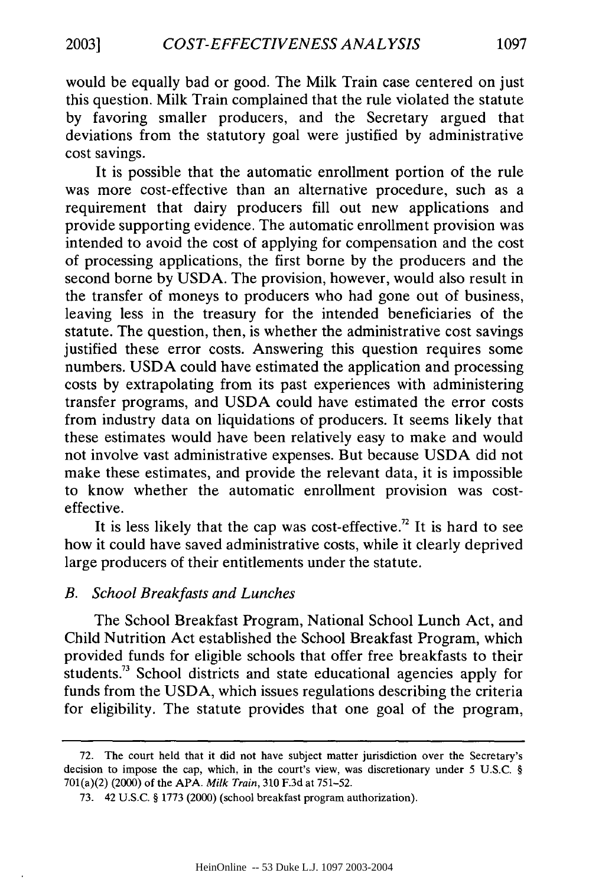would be equally bad or good. The Milk Train case centered on just this question. Milk Train complained that the rule violated the statute by favoring smaller producers, and the Secretary argued that deviations from the statutory goal were justified by administrative cost savings.

It is possible that the automatic enrollment portion of the rule was more cost-effective than an alternative procedure, such as a requirement that dairy producers fill out new applications and provide supporting evidence. The automatic enrollment provision was intended to avoid the cost of applying for compensation and the cost of processing applications, the first borne by the producers and the second borne by USDA. The provision, however, would also result in the transfer of moneys to producers who had gone out of business, leaving less in the treasury for the intended beneficiaries of the statute. The question, then, is whether the administrative cost savings justified these error costs. Answering this question requires some numbers. USDA could have estimated the application and processing costs by extrapolating from its past experiences with administering transfer programs, and USDA could have estimated the error costs from industry data on liquidations of producers. It seems likely that these estimates would have been relatively easy to make and would not involve vast administrative expenses. But because USDA did not make these estimates, and provide the relevant data, it is impossible to know whether the automatic enrollment provision was costeffective.

It is less likely that the cap was cost-effective.<sup>72</sup> It is hard to see how it could have saved administrative costs, while it clearly deprived large producers of their entitlements under the statute.

## *B. School Breakfasts and Lunches*

The School Breakfast Program, National School Lunch Act, and Child Nutrition Act established the School Breakfast Program, which provided funds for eligible schools that offer free breakfasts to their students.<sup>73</sup> School districts and state educational agencies apply for funds from the USDA, which issues regulations describing the criteria for eligibility. The statute provides that one goal of the program,

<sup>72.</sup> The court held that it did not have subject matter jurisdiction over the Secretary's decision to impose the cap, which, in the court's view, was discretionary under 5 U.S.C. § 701(a)(2) (2000) of the APA. *Milk Train,* 310 F.3d at 751-52.

<sup>73. 42</sup> U.S.C. § 1773 (2000) (school breakfast program authorization).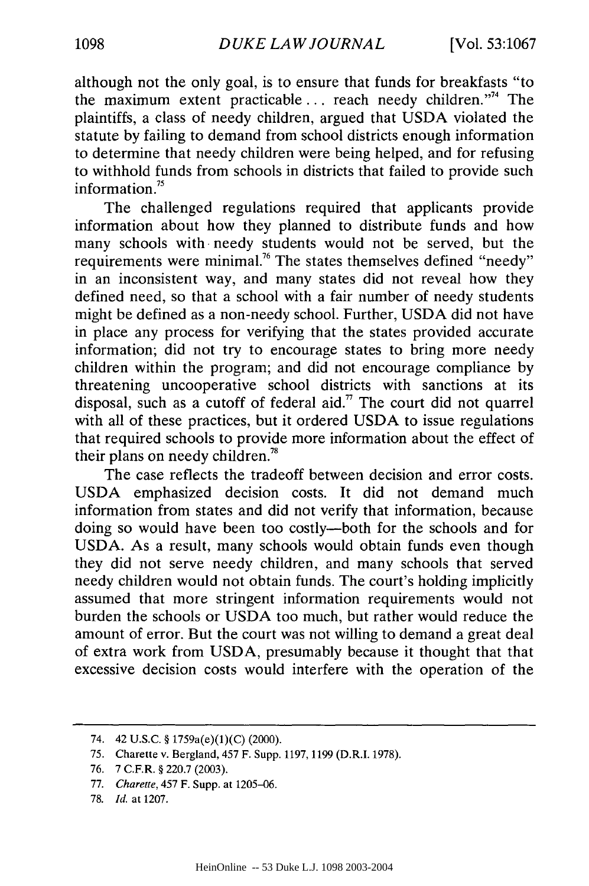although not the only goal, is to ensure that funds for breakfasts "to the maximum extent practicable... reach needy children."<sup>4</sup> The plaintiffs, a class of needy children, argued that USDA violated the statute by failing to demand from school districts enough information to determine that needy children were being helped, and for refusing to withhold funds from schools in districts that failed to provide such information. $15$ 

The challenged regulations required that applicants provide information about how they planned to distribute funds and how many schools with -needy students would not be served, but the requirements were minimal.<sup>76</sup> The states themselves defined "needy" in an inconsistent way, and many states did not reveal how they defined need, so that a school with a fair number of needy students might be defined as a non-needy school. Further, USDA did not have in place any process for verifying that the states provided accurate information; did not try to encourage states to bring more needy children within the program; and did not encourage compliance by threatening uncooperative school districts with sanctions at its disposal, such as a cutoff of federal aid." The court did not quarrel with all of these practices, but it ordered USDA to issue regulations that required schools to provide more information about the effect of their plans on needy children."

The case reflects the tradeoff between decision and error costs. USDA emphasized decision costs. It did not demand much information from states and did not verify that information, because doing so would have been too costly-both for the schools and for USDA. As a result, many schools would obtain funds even though they did not serve needy children, and many schools that served needy children would not obtain funds. The court's holding implicitly assumed that more stringent information requirements would not burden the schools or USDA too much, but rather would reduce the amount of error. But the court was not willing to demand a great deal of extra work from USDA, presumably because it thought that that excessive decision costs would interfere with the operation of the

<sup>74. 42</sup> U.S.C. **§** 1759a(e)(1)(C) (2000).

**<sup>75.</sup>** Charette v. Bergland, 457 F. Supp. **1197, 1199** (D.R.I. 1978).

<sup>76. 7</sup> C.F.R. § 220.7 (2003).

<sup>77.</sup> *Charette,* 457 F. Supp. at 1205-06.

<sup>78.</sup> *Id.* at 1207.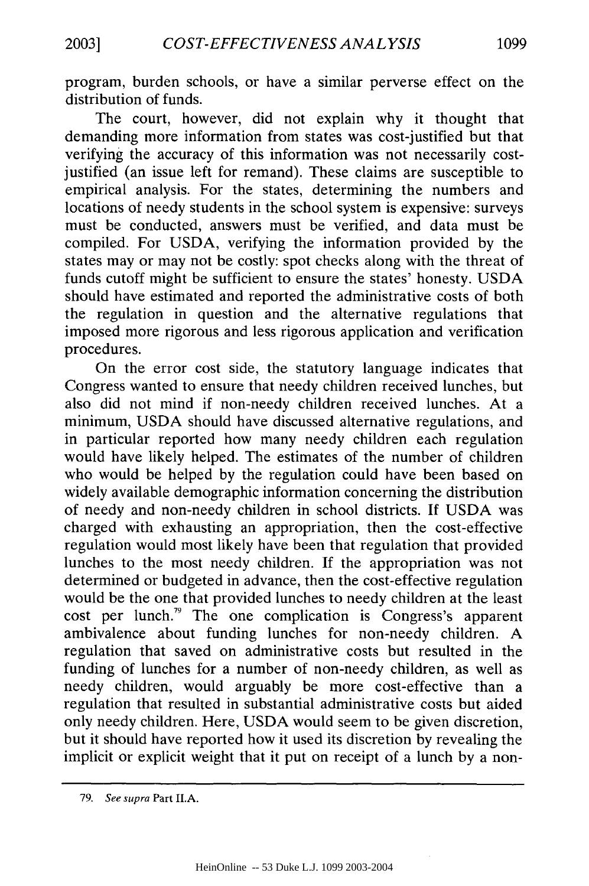program, burden schools, or have a similar perverse effect on the distribution of funds.

The court, however, did not explain why it thought that demanding more information from states was cost-justified but that verifying the accuracy of this information was not necessarily costjustified (an issue left for remand). These claims are susceptible to empirical analysis. For the states, determining the numbers and locations of needy students in the school system is expensive: surveys must be conducted, answers must be verified, and data must be compiled. For USDA, verifying the information provided by the states may or may not be costly: spot checks along with the threat of funds cutoff might be sufficient to ensure the states' honesty. USDA should have estimated and reported the administrative costs of both the regulation in question and the alternative regulations that imposed more rigorous and less rigorous application and verification procedures.

On the error cost side, the statutory language indicates that Congress wanted to ensure that needy children received lunches, but also did not mind if non-needy children received lunches. At a minimum, USDA should have discussed alternative regulations, and in particular reported how many needy children each regulation would have likely helped. The estimates of the number of children who would be helped by the regulation could have been based on widely available demographic information concerning the distribution of needy and non-needy children in school districts. If USDA was charged with exhausting an appropriation, then the cost-effective regulation would most likely have been that regulation that provided lunches to the most needy children. If the appropriation was not determined or budgeted in advance, then the cost-effective regulation would be the one that provided lunches to needy children at the least cost per lunch.79 The one complication is Congress's apparent ambivalence about funding lunches for non-needy children. A regulation that saved on administrative costs but resulted in the funding of lunches for a number of non-needy children, as well as needy children, would arguably be more cost-effective than a regulation that resulted in substantial administrative costs but aided only needy children. Here, USDA would seem to be given discretion, but it should have reported how it used its discretion by revealing the implicit or explicit weight that it put on receipt of a lunch by a non-

<sup>79.</sup> See supra Part II.A.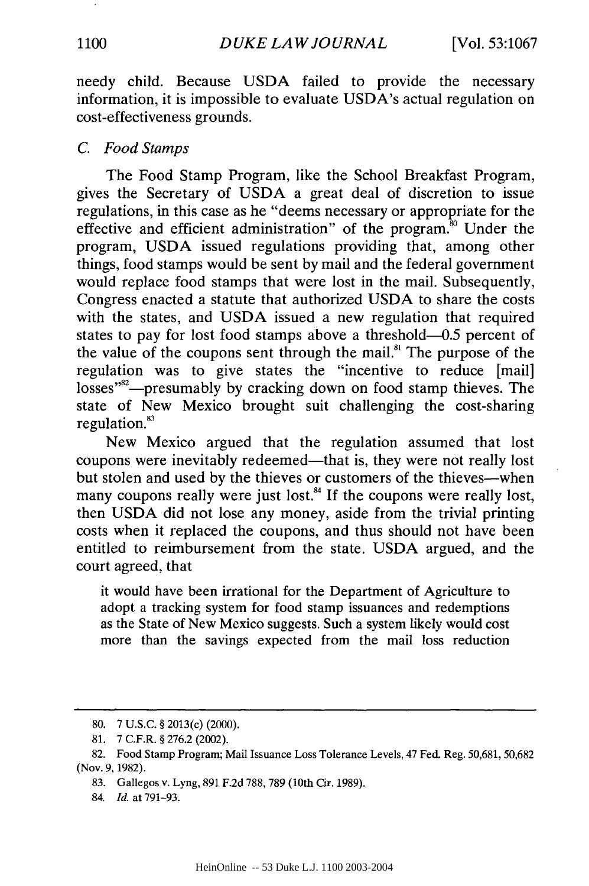needy child. Because USDA failed to provide the necessary information, it is impossible to evaluate USDA's actual regulation on cost-effectiveness grounds.

#### *C. Food Stamps*

The Food Stamp Program, like the School Breakfast Program, gives the Secretary of USDA a great deal of discretion to issue regulations, in this case as he "deems necessary or appropriate for the effective and efficient administration" of the program.<sup>80</sup> Under the program, USDA issued regulations providing that, among other things, food stamps would be sent by mail and the federal government would replace food stamps that were lost in the mail. Subsequently, Congress enacted a statute that authorized USDA to share the costs with the states, and USDA issued a new regulation that required states to pay for lost food stamps above a threshold-0.5 percent of the value of the coupons sent through the mail.<sup>81</sup> The purpose of the regulation was to give states the "incentive to reduce [mail] losses"<sup>82</sup>—presumably by cracking down on food stamp thieves. The state of New Mexico brought suit challenging the cost-sharing regulation. $83$ 

New Mexico argued that the regulation assumed that lost coupons were inevitably redeemed—that is, they were not really lost but stolen and used by the thieves or customers of the thieves-when many coupons really were just lost.<sup>84</sup> If the coupons were really lost, then USDA did not lose any money, aside from the trivial printing costs when it replaced the coupons, and thus should not have been entitled to reimbursement from the state. USDA argued, and the court agreed, that

it would have been irrational for the Department of Agriculture to adopt a tracking system for food stamp issuances and redemptions as the State of New Mexico suggests. Such a system likely would cost more than the savings expected from the mail loss reduction

<sup>80. 7</sup> U.S.C. § 2013(c) (2000).

<sup>81. 7</sup> C.F.R. § 276.2 (2002).

<sup>82.</sup> Food Stamp Program; Mail Issuance Loss Tolerance Levels, 47 Fed. Reg. 50,681, 50,682 (Nov. 9,1982).

<sup>83.</sup> Gallegos v. Lyng, 891 F.2d 788, 789 (10th Cir. 1989).

<sup>84.</sup> *Id.* at 791-93.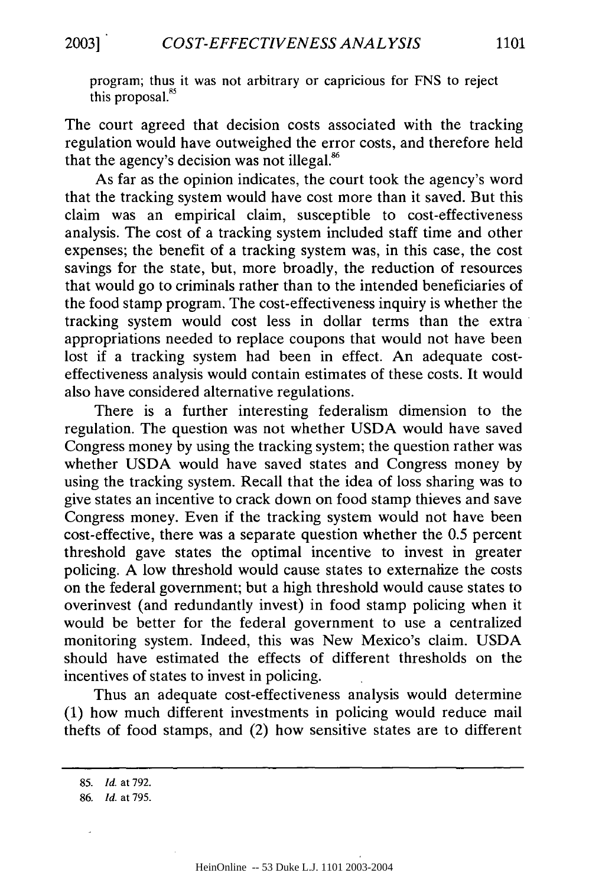program; thus it was not arbitrary or capricious for FNS to reject this proposal.<sup>85</sup>

The court agreed that decision costs associated with the tracking regulation would have outweighed the error costs, and therefore held that the agency's decision was not illegal.<sup>86</sup>

As far as the opinion indicates, the court took the agency's word that the tracking system would have cost more than it saved. But this claim was an empirical claim, susceptible to cost-effectiveness analysis. The cost of a tracking system included staff time and other expenses; the benefit of a tracking system was, in this case, the cost savings for the state, but, more broadly, the reduction of resources that would go to criminals rather than to the intended beneficiaries of the food stamp program. The cost-effectiveness inquiry is whether the tracking system would cost less in dollar terms than the extra appropriations needed to replace coupons that would not have been lost if a tracking system had been in effect. An adequate costeffectiveness analysis would contain estimates of these costs. It would also have considered alternative regulations.

There is a further interesting federalism dimension to the regulation. The question was not whether USDA would have saved Congress money by using the tracking system; the question rather was whether USDA would have saved states and Congress money by using the tracking system. Recall that the idea of loss sharing was to give states an incentive to crack down on food stamp thieves and save Congress money. Even if the tracking system would not have been cost-effective, there was a separate question whether the 0.5 percent threshold gave states the optimal incentive to invest in greater policing. A low threshold would cause states to externalize the costs on the federal government; but a high threshold would cause states to overinvest (and redundantly invest) in food stamp policing when it would be better for the federal government to use a centralized monitoring system. Indeed, this was New Mexico's claim. USDA should have estimated the effects of different thresholds on the incentives of states to invest in policing.

Thus an adequate cost-effectiveness analysis would determine (1) how much different investments in policing would reduce mail thefts of food stamps, and (2) how sensitive states are to different

<sup>85.</sup> *Id.* at 792.

**<sup>86.</sup>** *Id.* at 795.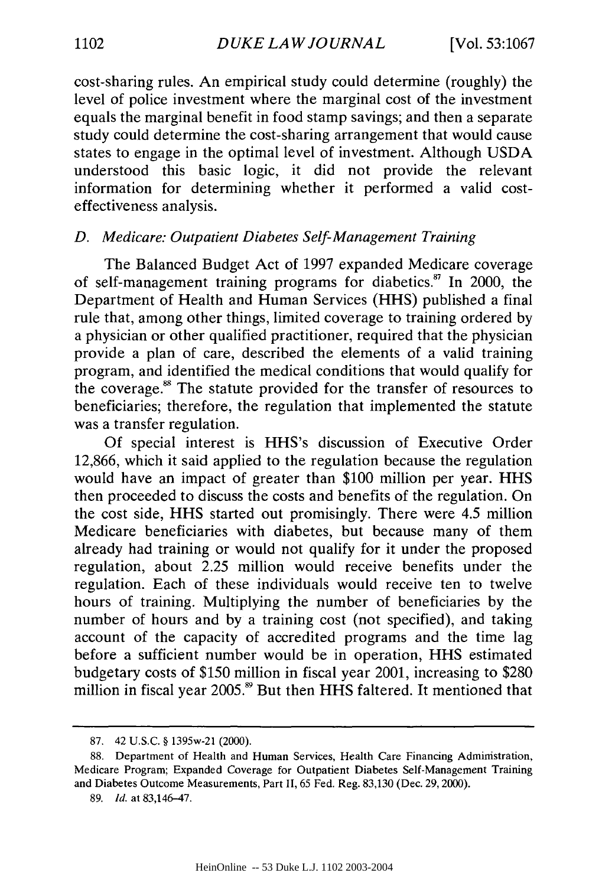cost-sharing rules. An empirical study could determine (roughly) the level of police investment where the marginal cost of the investment equals the marginal benefit in food stamp savings; and then a separate study could determine the cost-sharing arrangement that would cause states to engage in the optimal level of investment. Although USDA understood this basic logic, it did not provide the relevant information for determining whether it performed a valid costeffectiveness analysis.

## *D. Medicare: Outpatient Diabetes Self-Management Training*

The Balanced Budget Act of 1997 expanded Medicare coverage of self-management training programs for diabetics." In 2000, the Department of Health and Human Services (HHS) published a final rule that, among other things, limited coverage to training ordered by a physician or other qualified practitioner, required that the physician provide a plan of care, described the elements of a valid training program, and identified the medical conditions that would qualify for the coverage.<sup>88</sup> The statute provided for the transfer of resources to beneficiaries; therefore, the regulation that implemented the statute was a transfer regulation.

Of special interest is HHS's discussion of Executive Order 12,866, which it said applied to the regulation because the regulation would have an impact of greater than \$100 million per year. HHS then proceeded to discuss the costs and benefits of the regulation. On the cost side, HHS started out promisingly. There were 4.5 million Medicare beneficiaries with diabetes, but because many of them already had training or would not qualify for it under the proposed regulation, about 2.25 million would receive benefits under the regulation. Each of these individuals would receive ten to twelve hours of training. Multiplying the number of beneficiaries by the number of hours and by a training cost (not specified), and taking account of the capacity of accredited programs and the time lag before a sufficient number would be in operation, HHS estimated budgetary costs of \$150 million in fiscal year 2001, increasing to \$280 million in fiscal year 2005.<sup>89</sup> But then HHS faltered. It mentioned that

<sup>87. 42</sup> U.S.C. § 1395w-21 (2000).

<sup>88.</sup> Department of Health and Human Services, Health Care Financing Administration, Medicare Program; Expanded Coverage for Outpatient Diabetes Self-Management Training and Diabetes Outcome Measurements, Part **II,** 65 Fed. Reg. **83,130** (Dec. **29,** 2000).

**<sup>89.</sup>** *Id.* at 83,146-47.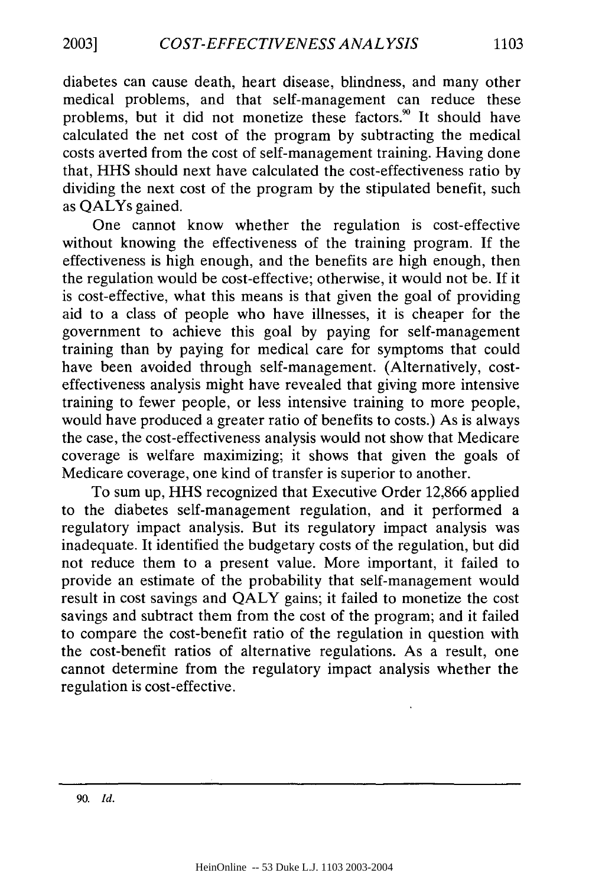diabetes can cause death, heart disease, blindness, and many other medical problems, and that self-management can reduce these problems, but it did not monetize these factors.<sup>90</sup> It should have calculated the net cost of the program by subtracting the medical costs averted from the cost of self-management training. Having done that, HHS should next have calculated the cost-effectiveness ratio by dividing the next cost of the program by the stipulated benefit, such as QALYs gained.

One cannot know whether the regulation is cost-effective without knowing the effectiveness of the training program. If the effectiveness is high enough, and the benefits are high enough, then the regulation would be cost-effective; otherwise, it would not be. If it is cost-effective, what this means is that given the goal of providing aid to a class of people who have illnesses, it is cheaper for the government to achieve this goal by paying for self-management training than by paying for medical care for symptoms that could have been avoided through self-management. (Alternatively, costeffectiveness analysis might have revealed that giving more intensive training to fewer people, or less intensive training to more people, would have produced a greater ratio of benefits to costs.) As is always the case, the cost-effectiveness analysis would not show that Medicare coverage is welfare maximizing; it shows that given the goals of Medicare coverage, one kind of transfer is superior to another.

To sum up, HHS recognized that Executive Order 12,866 applied to the diabetes self-management regulation, and it performed a regulatory impact analysis. But its regulatory impact analysis was inadequate. It identified the budgetary costs of the regulation, but did not reduce them to a present value. More important, it failed to provide an estimate of the probability that self-management would result in cost savings and QALY gains; it failed to monetize the cost savings and subtract them from the cost of the program; and it failed to compare the cost-benefit ratio of the regulation in question with the cost-benefit ratios of alternative regulations. As a result, one cannot determine from the regulatory impact analysis whether the regulation is cost-effective.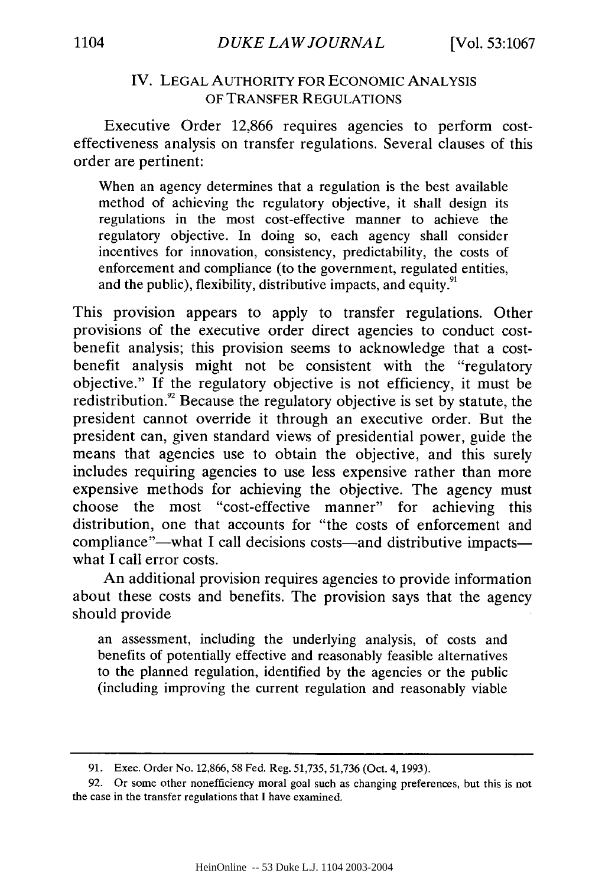## IV. LEGAL AUTHORITY FOR ECONOMIC ANALYSIS OF TRANSFER REGULATIONS

Executive Order 12,866 requires agencies to perform costeffectiveness analysis on transfer regulations. Several clauses of this order are pertinent:

When an agency determines that a regulation is the best available method of achieving the regulatory objective, it shall design its regulations in the most cost-effective manner to achieve the regulatory objective. In doing so, each agency shall consider incentives for innovation, consistency, predictability, the costs of enforcement and compliance (to the government, regulated entities, and the public), flexibility, distributive impacts, and equity.<sup>91</sup>

This provision appears to apply to transfer regulations. Other provisions of the executive order direct agencies to conduct costbenefit analysis; this provision seems to acknowledge that a costbenefit analysis might not be consistent with the "regulatory objective." If the regulatory objective is not efficiency, it must be redistribution.<sup>92</sup> Because the regulatory objective is set by statute, the president cannot override it through an executive order. But the president can, given standard views of presidential power, guide the means that agencies use to obtain the objective, and this surely includes requiring agencies to use less expensive rather than more expensive methods for achieving the objective. The agency must choose the most "cost-effective manner" for achieving this distribution, one that accounts for "the costs of enforcement and compliance"-what I call decisions costs-and distributive impactswhat I call error costs.

An additional provision requires agencies to provide information about these costs and benefits. The provision says that the agency should provide

an assessment, including the underlying analysis, of costs and benefits of potentially effective and reasonably feasible alternatives to the planned regulation, identified by the agencies or the public (including improving the current regulation and reasonably viable

<sup>91.</sup> Exec. Order No. 12,866,58 Fed. Reg. 51,735, 51,736 (Oct. 4, 1993).

<sup>92.</sup> Or some other nonefficiency moral goal such as changing preferences, but this is not the case in the transfer regulations that I have examined.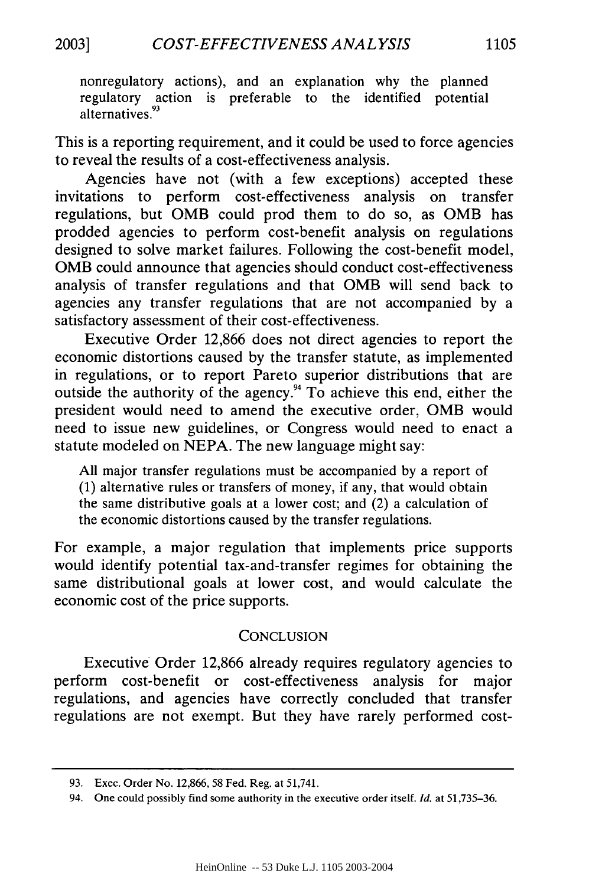nonregulatory actions), and an explanation why the planned regulatory action is preferable to the identified potential alternatives.<sup>93</sup>

This is a reporting requirement, and it could be used to force agencies to reveal the results of a cost-effectiveness analysis.

Agencies have not (with a few exceptions) accepted these invitations to perform cost-effectiveness analysis on transfer regulations, but OMB could prod them to do so, as OMB has prodded agencies to perform cost-benefit analysis on regulations designed to solve market failures. Following the cost-benefit model, OMB could announce that agencies should conduct cost-effectiveness analysis of transfer regulations and that OMB will send back to agencies any transfer regulations that are not accompanied by a satisfactory assessment of their cost-effectiveness.

Executive Order 12,866 does not direct agencies to report the economic distortions caused by the transfer statute, as implemented in regulations, or to report Pareto superior distributions that are outside the authority of the agency." To achieve this end, either the president would need to amend the executive order, OMB would need to issue new guidelines, or Congress would need to enact a statute modeled on NEPA. The new language might say:

All major transfer regulations must be accompanied by a report of (1) alternative rules or transfers of money, if any, that would obtain the same distributive goals at a lower cost; and (2) a calculation of the economic distortions caused by the transfer regulations.

For example, a major regulation that implements price supports would identify potential tax-and-transfer regimes for obtaining the same distributional goals at lower cost, and would calculate the economic cost of the price supports.

## **CONCLUSION**

Executive Order 12,866 already requires regulatory agencies to perform cost-benefit or cost-effectiveness analysis for major regulations, and agencies have correctly concluded that transfer regulations are not exempt. But they have rarely performed cost-

<sup>93.</sup> Exec. Order No. 12,866, 58 Fed. Reg. at 51,741.

<sup>94.</sup> One could possibly find some authority in the executive order itself. *Id.* at 51,735-36.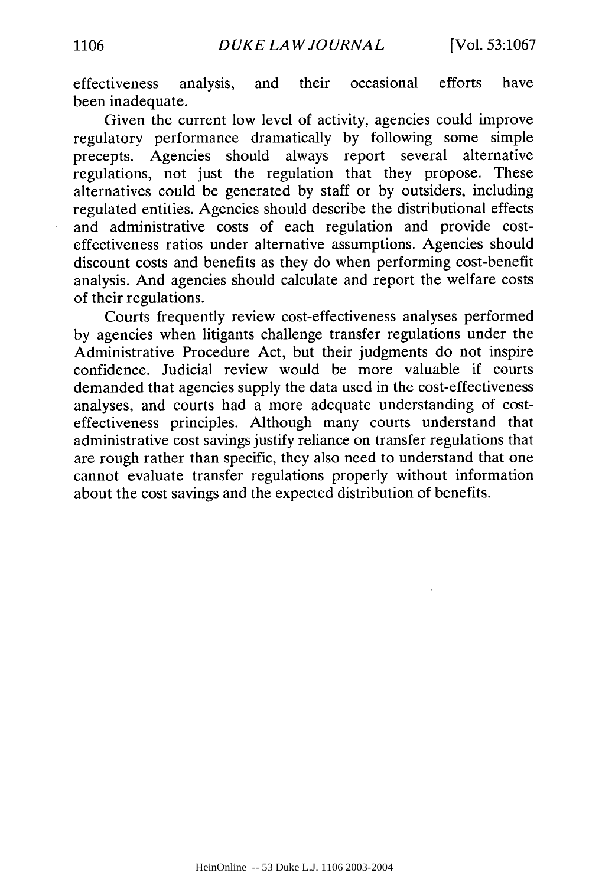effectiveness analysis, and their occasional efforts have been inadequate.

Given the current low level of activity, agencies could improve regulatory performance dramatically by following some simple precepts. Agencies should always report several alternative regulations, not just the regulation that they propose. These alternatives could be generated by staff or by outsiders, including regulated entities. Agencies should describe the distributional effects and administrative costs of each regulation and provide costeffectiveness ratios under alternative assumptions. Agencies should discount costs and benefits as they do when performing cost-benefit analysis. And agencies should calculate and report the welfare costs of their regulations.

Courts frequently review cost-effectiveness analyses performed by agencies when litigants challenge transfer regulations under the Administrative Procedure Act, but their judgments do not inspire confidence. Judicial review would be more valuable if courts demanded that agencies supply the data used in the cost-effectiveness analyses, and courts had a more adequate understanding of costeffectiveness principles. Although many courts understand that administrative cost savings justify reliance on transfer regulations that are rough rather than specific, they also need to understand that one cannot evaluate transfer regulations properly without information about the cost savings and the expected distribution of benefits.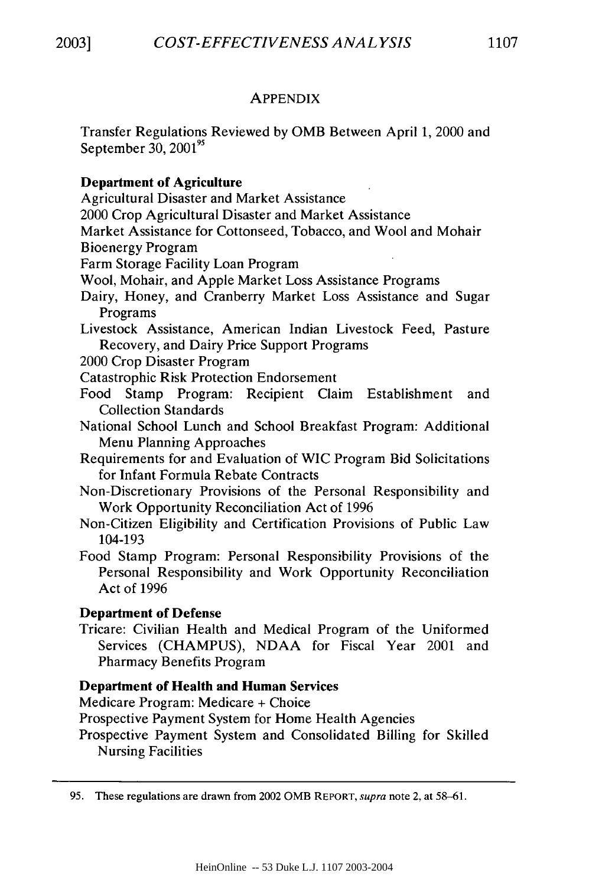## APPENDIX

Transfer Regulations Reviewed by OMB Between April 1, 2000 and September 30, 2001<sup>95</sup>

## **Department of Agriculture**

Agricultural Disaster and Market Assistance

2000 Crop Agricultural Disaster and Market Assistance

Market Assistance for Cottonseed, Tobacco, and Wool and Mohair Bioenergy Program

Farm Storage Facility Loan Program

Wool, Mohair, and Apple Market Loss Assistance Programs

Dairy, Honey, and Cranberry Market Loss Assistance and Sugar Programs

Livestock Assistance, American Indian Livestock Feed, Pasture Recovery, and Dairy Price Support Programs

2000 Crop Disaster Program

Catastrophic Risk Protection Endorsement

Food Stamp Program: Recipient Claim Establishment and Collection Standards

National School Lunch and School Breakfast Program: Additional Menu Planning Approaches

Requirements for and Evaluation of WIC Program Bid Solicitations for Infant Formula Rebate Contracts

Non-Discretionary Provisions of the Personal Responsibility and Work Opportunity Reconciliation Act of 1996

Non-Citizen Eligibility and Certification Provisions of Public Law 104-193

Food Stamp Program: Personal Responsibility Provisions of the Personal Responsibility and Work Opportunity Reconciliation Act of 1996

## **Department of Defense**

Tricare: Civilian Health and Medical Program of the Uniformed Services (CHAMPUS), NDAA for Fiscal Year 2001 and Pharmacy Benefits Program

## **Department of Health and Human Services**

Medicare Program: Medicare + Choice

Prospective Payment System for Home Health Agencies

Prospective Payment System and Consolidated Billing for Skilled Nursing Facilities

95. These regulations are drawn from 2002 OMB REPORT, *supra* note 2. at 58-61.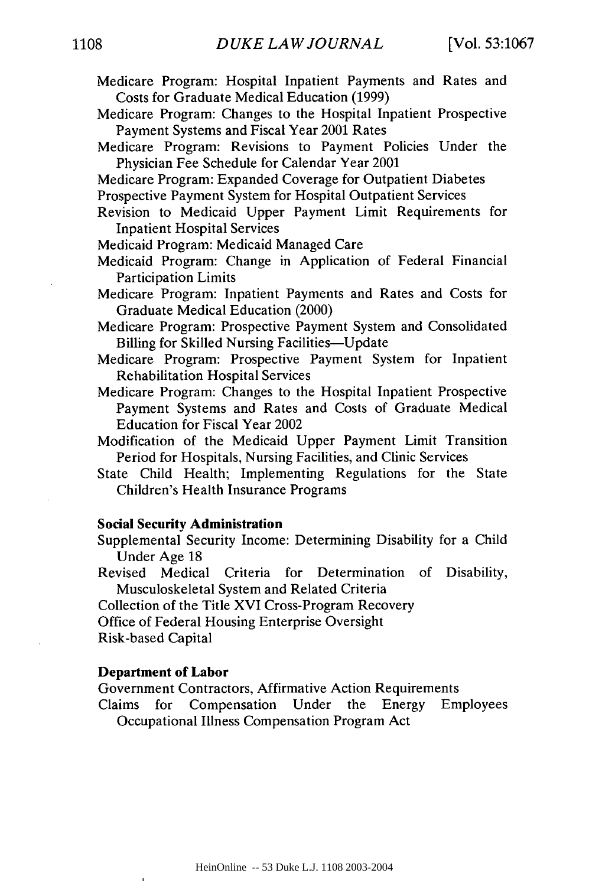- Medicare Program: Hospital Inpatient Payments and Rates and Costs for Graduate Medical Education (1999)
- Medicare Program: Changes to the Hospital Inpatient Prospective Payment Systems and Fiscal Year 2001 Rates
- Medicare Program: Revisions to Payment Policies Under the Physician Fee Schedule for Calendar Year 2001
- Medicare Program: Expanded Coverage for Outpatient Diabetes
- Prospective Payment System for Hospital Outpatient Services
- Revision to Medicaid Upper Payment Limit Requirements for Inpatient Hospital Services
- Medicaid Program: Medicaid Managed Care
- Medicaid Program: Change in Application of Federal Financial Participation Limits
- Medicare Program: Inpatient Payments and Rates and Costs for Graduate Medical Education (2000)
- Medicare Program: Prospective Payment System and Consolidated Billing for Skilled Nursing Facilities-Update
- Medicare Program: Prospective Payment System for Inpatient Rehabilitation Hospital Services
- Medicare Program: Changes to the Hospital Inpatient Prospective Payment Systems and Rates and Costs of Graduate Medical Education for Fiscal Year 2002
- Modification of the Medicaid Upper Payment Limit Transition Period for Hospitals, Nursing Facilities, and Clinic Services
- State Child Health; Implementing Regulations for the State Children's Health Insurance Programs

#### Social Security Administration

- Supplemental Security Income: Determining Disability for a Child Under Age 18
- Revised Medical Criteria for Determination of Disability, Musculoskeletal System and Related Criteria
- Collection of the Title XVI Cross-Program Recovery

Office of Federal Housing Enterprise Oversight

Risk-based Capital

#### **Department of Labor**

Government Contractors, Affirmative Action Requirements

Claims for Compensation Under the Energy Employees Occupational Illness Compensation Program Act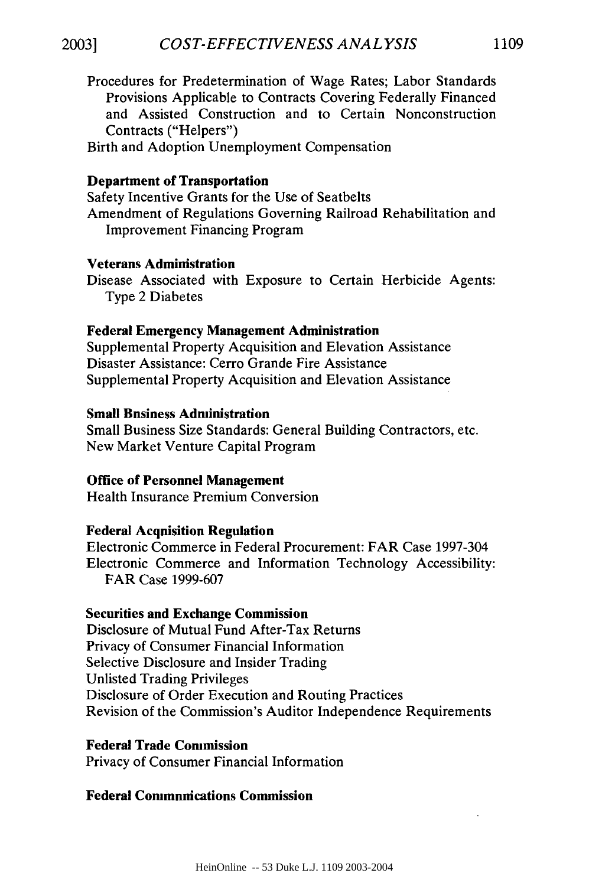Procedures for Predetermination of Wage Rates; Labor Standards Provisions Applicable to Contracts Covering Federally Financed and Assisted Construction and to Certain Nonconstruction Contracts ("Helpers")

Birth and Adoption Unemployment Compensation

#### Department of Transportation

Safety Incentive Grants for the Use of Seatbelts Amendment of Regulations Governing Railroad Rehabilitation and Improvement Financing Program

#### Veterans Administration

Disease Associated with Exposure to Certain Herbicide Agents: Type 2 Diabetes

#### **Federal Emergency Management Administration**

Supplemental Property Acquisition and Elevation Assistance Disaster Assistance: Cerro Grande Fire Assistance Supplemental Property Acquisition and Elevation Assistance

#### **Small Bnsiness Administration**

Small Business Size Standards: General Building Contractors, etc. New Market Venture Capital Program

#### **Office of Personnel Management**

Health Insurance Premium Conversion

## **Federal Acquisition Regulation**

Electronic Commerce in Federal Procurement: FAR Case 1997-304 Electronic Commerce and Information Technology Accessibility: FAR Case 1999-607

#### **Securities and Exchange Commission**

Disclosure of Mutual Fund After-Tax Returns Privacy of Consumer Financial Information Selective Disclosure and Insider Trading Unlisted Trading Privileges Disclosure of Order Execution and Routing Practices Revision of the Commission's Auditor Independence Requirements

#### **Federal Trade Commission**

Privacy of Consumer Financial Information

## **Federal Communications Commission**